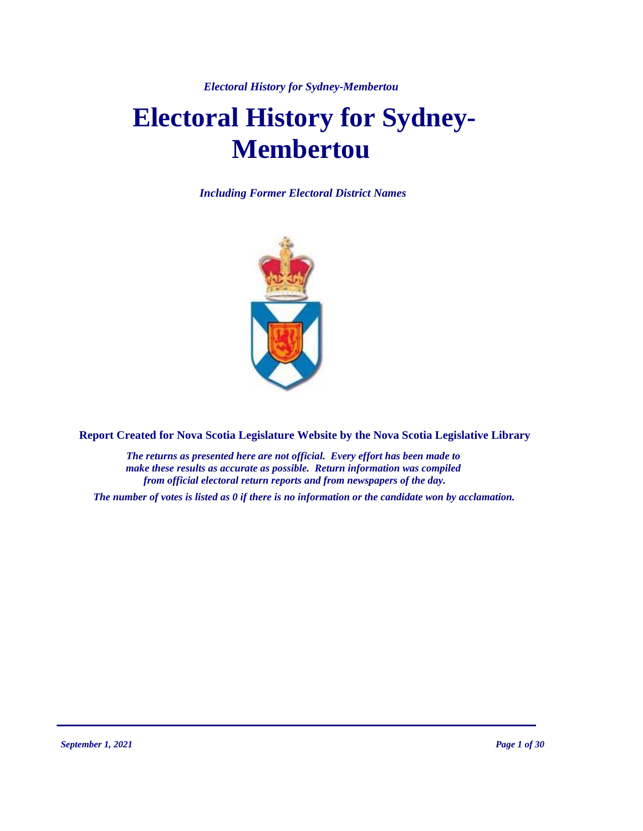*Electoral History for Sydney-Membertou*

# **Electoral History for Sydney-Membertou**

*Including Former Electoral District Names*



**Report Created for Nova Scotia Legislature Website by the Nova Scotia Legislative Library**

*The returns as presented here are not official. Every effort has been made to make these results as accurate as possible. Return information was compiled from official electoral return reports and from newspapers of the day.*

*The number of votes is listed as 0 if there is no information or the candidate won by acclamation.*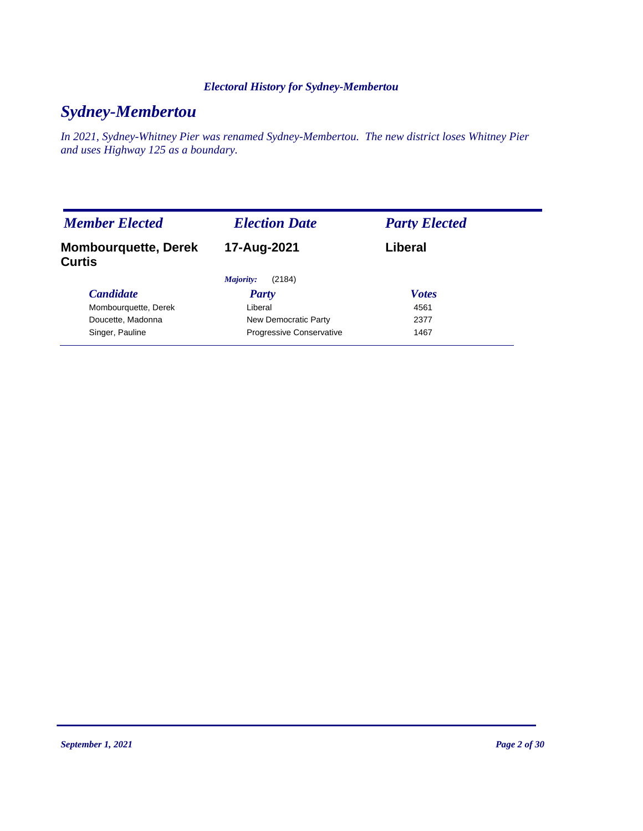### *Electoral History for Sydney-Membertou*

# *Sydney-Membertou*

*In 2021, Sydney-Whitney Pier was renamed Sydney-Membertou. The new district loses Whitney Pier and uses Highway 125 as a boundary.*

| <b>Member Elected</b>                        | <b>Election Date</b>            | <b>Party Elected</b> |
|----------------------------------------------|---------------------------------|----------------------|
| <b>Mombourquette, Derek</b><br><b>Curtis</b> | 17-Aug-2021                     | Liberal              |
|                                              | Majority:<br>(2184)             |                      |
| <b>Candidate</b>                             | <b>Party</b>                    | <b>Votes</b>         |
| Mombourquette, Derek                         | Liberal                         | 4561                 |
| Doucette, Madonna                            | New Democratic Party            | 2377                 |
| Singer, Pauline                              | <b>Progressive Conservative</b> | 1467                 |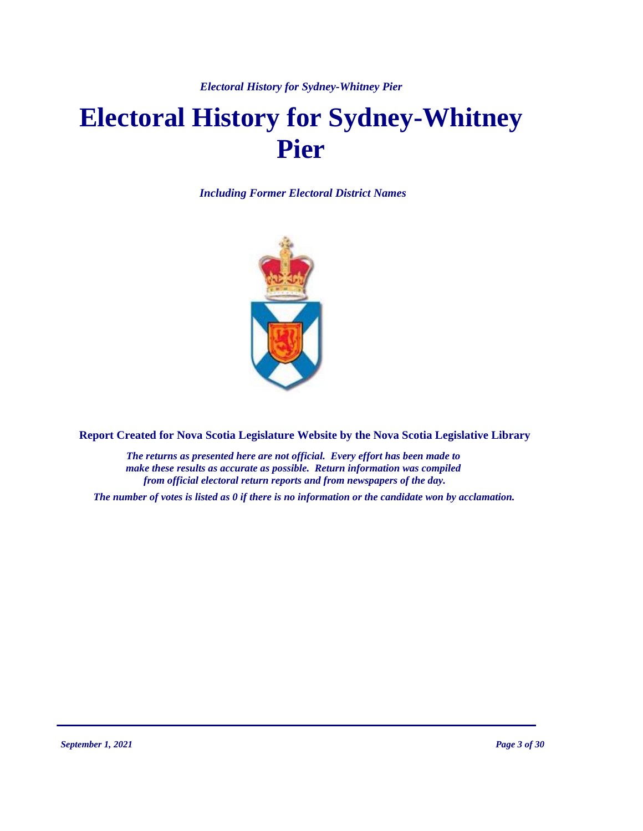*Electoral History for Sydney-Whitney Pier*

# **Electoral History for Sydney-Whitney Pier**

*Including Former Electoral District Names*



**Report Created for Nova Scotia Legislature Website by the Nova Scotia Legislative Library**

*The returns as presented here are not official. Every effort has been made to make these results as accurate as possible. Return information was compiled from official electoral return reports and from newspapers of the day.*

*The number of votes is listed as 0 if there is no information or the candidate won by acclamation.*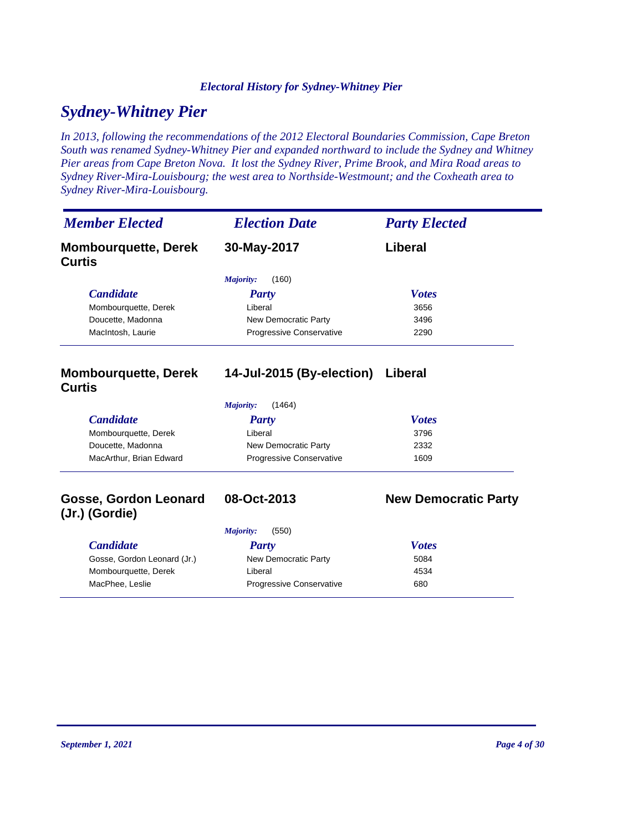### *Electoral History for Sydney-Whitney Pier*

# *Sydney-Whitney Pier*

*In 2013, following the recommendations of the 2012 Electoral Boundaries Commission, Cape Breton South was renamed Sydney-Whitney Pier and expanded northward to include the Sydney and Whitney Pier areas from Cape Breton Nova. It lost the Sydney River, Prime Brook, and Mira Road areas to Sydney River-Mira-Louisbourg; the west area to Northside-Westmount; and the Coxheath area to Sydney River-Mira-Louisbourg.*

| <b>Member Elected</b>                        | <b>Election Date</b>     | <b>Party Elected</b> |
|----------------------------------------------|--------------------------|----------------------|
| <b>Mombourguette, Derek</b><br><b>Curtis</b> | 30-May-2017              | Liberal              |
|                                              | Majority:<br>(160)       |                      |
| <b>Candidate</b>                             | <b>Party</b>             | <b>Votes</b>         |
| Mombourquette, Derek                         | Liberal                  | 3656                 |
| Doucette, Madonna                            | New Democratic Party     | 3496                 |
| MacIntosh, Laurie                            | Progressive Conservative | 2290                 |

### **Mombourquette, Derek Curtis**

### **14-Jul-2015 (By-election) Liberal**

| (1464)<br>Majority:     |                                 |              |  |  |
|-------------------------|---------------------------------|--------------|--|--|
| <i>Candidate</i>        | Party                           | <b>Votes</b> |  |  |
| Mombourquette, Derek    | Liberal                         | 3796         |  |  |
| Doucette, Madonna       | New Democratic Party            | 2332         |  |  |
| MacArthur, Brian Edward | <b>Progressive Conservative</b> | 1609         |  |  |

### **Gosse, Gordon Leonard (Jr.) (Gordie)**

### **08-Oct-2013 New Democratic Party**

|                             | (550)<br>Majority:              |              |
|-----------------------------|---------------------------------|--------------|
| <b>Candidate</b>            | Party                           | <b>Votes</b> |
| Gosse, Gordon Leonard (Jr.) | New Democratic Party            | 5084         |
| Mombourguette, Derek        | Liberal                         | 4534         |
| MacPhee, Leslie             | <b>Progressive Conservative</b> | 680          |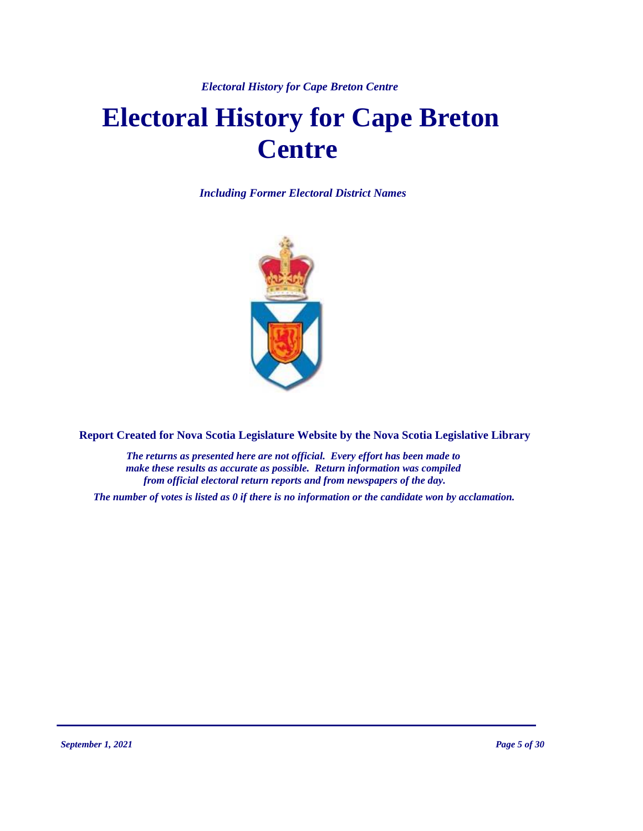# **Electoral History for Cape Breton Centre**

*Including Former Electoral District Names*



**Report Created for Nova Scotia Legislature Website by the Nova Scotia Legislative Library**

*The returns as presented here are not official. Every effort has been made to make these results as accurate as possible. Return information was compiled from official electoral return reports and from newspapers of the day.*

*The number of votes is listed as 0 if there is no information or the candidate won by acclamation.*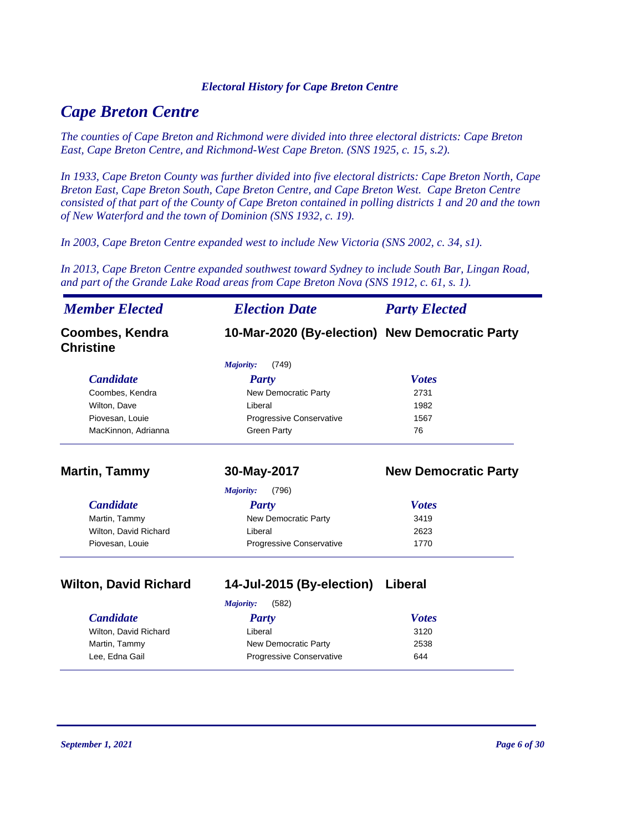# *Cape Breton Centre*

*The counties of Cape Breton and Richmond were divided into three electoral districts: Cape Breton East, Cape Breton Centre, and Richmond-West Cape Breton. (SNS 1925, c. 15, s.2).* 

*In 1933, Cape Breton County was further divided into five electoral districts: Cape Breton North, Cape Breton East, Cape Breton South, Cape Breton Centre, and Cape Breton West. Cape Breton Centre consisted of that part of the County of Cape Breton contained in polling districts 1 and 20 and the town of New Waterford and the town of Dominion (SNS 1932, c. 19).*

*In 2003, Cape Breton Centre expanded west to include New Victoria (SNS 2002, c. 34, s1).*

*In 2013, Cape Breton Centre expanded southwest toward Sydney to include South Bar, Lingan Road, and part of the Grande Lake Road areas from Cape Breton Nova (SNS 1912, c. 61, s. 1).*

| <b>Member Elected</b>               | <b>Election Date</b>                           | <b>Party Elected</b>        |
|-------------------------------------|------------------------------------------------|-----------------------------|
| Coombes, Kendra<br><b>Christine</b> | 10-Mar-2020 (By-election) New Democratic Party |                             |
|                                     | Majority:<br>(749)                             |                             |
| <b>Candidate</b>                    | Party                                          | <b>Votes</b>                |
| Coombes, Kendra                     | New Democratic Party                           | 2731                        |
| Wilton, Dave                        | Liberal                                        | 1982                        |
| Piovesan, Louie                     | Progressive Conservative                       | 1567                        |
| MacKinnon, Adrianna                 | <b>Green Party</b>                             | 76                          |
| <b>Martin, Tammy</b>                | 30-May-2017                                    | <b>New Democratic Party</b> |
|                                     | (796)<br>Majority:                             |                             |
| <b>Candidate</b>                    | <b>Party</b>                                   | <b>Votes</b>                |
| Martin, Tammy                       | New Democratic Party                           | 3419                        |
| Wilton, David Richard               | Liberal                                        | 2623                        |
| Piovesan, Louie                     | Progressive Conservative                       | 1770                        |

**Wilton, David Richard 14-Jul-2015 (By-election) Liberal**

|                       | (582)<br>Majority:              |              |
|-----------------------|---------------------------------|--------------|
| <b>Candidate</b>      | Party                           | <b>Votes</b> |
| Wilton, David Richard | Liberal                         | 3120         |
| Martin, Tammy         | New Democratic Party            | 2538         |
| Lee. Edna Gail        | <b>Progressive Conservative</b> | 644          |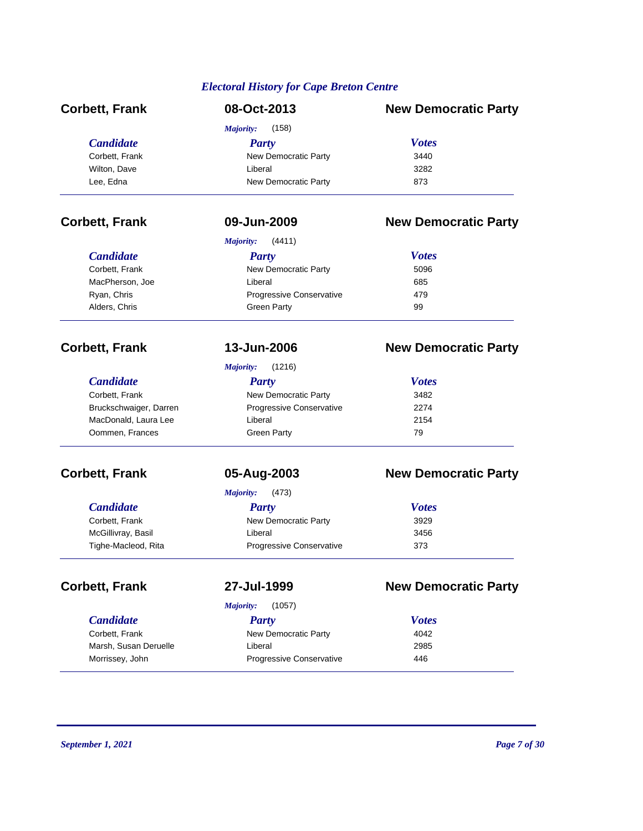| <b>Corbett, Frank</b>  | 08-Oct-2013                | <b>New Democratic Party</b> |
|------------------------|----------------------------|-----------------------------|
|                        | Majority:<br>(158)         |                             |
| <b>Candidate</b>       | <b>Party</b>               | <b>Votes</b>                |
| Corbett, Frank         | New Democratic Party       | 3440                        |
| Wilton, Dave           | Liberal                    | 3282                        |
| Lee, Edna              | New Democratic Party       | 873                         |
| <b>Corbett, Frank</b>  | 09-Jun-2009                | <b>New Democratic Party</b> |
|                        | <b>Majority:</b><br>(4411) |                             |
| <b>Candidate</b>       | <b>Party</b>               | <b>Votes</b>                |
| Corbett, Frank         | New Democratic Party       | 5096                        |
| MacPherson, Joe        | Liberal                    | 685                         |
| Ryan, Chris            | Progressive Conservative   | 479                         |
| Alders, Chris          | <b>Green Party</b>         | 99                          |
| <b>Corbett, Frank</b>  | 13-Jun-2006                | <b>New Democratic Party</b> |
|                        | <b>Majority:</b><br>(1216) |                             |
| <b>Candidate</b>       | <b>Party</b>               | <b>Votes</b>                |
| Corbett, Frank         | New Democratic Party       | 3482                        |
| Bruckschwaiger, Darren | Progressive Conservative   | 2274                        |
| MacDonald, Laura Lee   | Liberal                    | 2154                        |
| Oommen, Frances        | <b>Green Party</b>         | 79                          |
| <b>Corbett, Frank</b>  | 05-Aug-2003                | <b>New Democratic Party</b> |
|                        | <b>Majority:</b><br>(473)  |                             |
| <b>Candidate</b>       | <b>Party</b>               | <b>Votes</b>                |
| Corbett, Frank         | New Democratic Party       | 3929                        |
| McGillivray, Basil     | Liberal                    | 3456                        |
| Tighe-Macleod, Rita    | Progressive Conservative   | 373                         |
| <b>Corbett, Frank</b>  | 27-Jul-1999                | <b>New Democratic Party</b> |
|                        | (1057)<br>Majority:        |                             |
| <b>Candidate</b>       | <b>Party</b>               | <b>Votes</b>                |
| Corbett, Frank         | New Democratic Party       | 4042                        |
| Marsh, Susan Deruelle  | Liberal                    | 2985                        |
| Morrissey, John        | Progressive Conservative   | 446                         |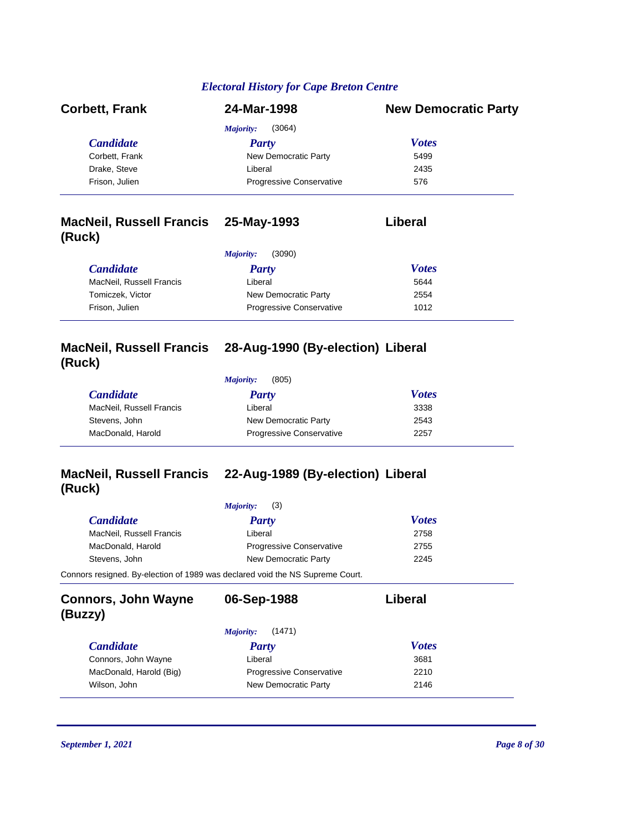| <b>Corbett, Frank</b> | 24-Mar-1998                     | <b>New Democratic Party</b> |
|-----------------------|---------------------------------|-----------------------------|
|                       | (3064)<br>Majority:             |                             |
| <i>Candidate</i>      | Party                           | <b>Votes</b>                |
| Corbett, Frank        | New Democratic Party            | 5499                        |
| Drake, Steve          | Liberal                         | 2435                        |
| Frison, Julien        | <b>Progressive Conservative</b> | 576                         |

### **MacNeil, Russell Francis 25-May-1993 Liberal (Ruck)**

|                          | (3090)<br>Majority:             |              |  |
|--------------------------|---------------------------------|--------------|--|
| <b>Candidate</b>         | Party                           | <b>Votes</b> |  |
| MacNeil, Russell Francis | Liberal                         | 5644         |  |
| Tomiczek. Victor         | New Democratic Party            | 2554         |  |
| Frison, Julien           | <b>Progressive Conservative</b> | 1012         |  |

### **MacNeil, Russell Francis 28-Aug-1990 (By-election) Liberal (Ruck)**

| (805)<br>Majority: |  |
|--------------------|--|
|--------------------|--|

| <i>Candidate</i>         | Party                           | <b>Votes</b> |  |
|--------------------------|---------------------------------|--------------|--|
| MacNeil, Russell Francis | Liberal                         | 3338         |  |
| Stevens, John            | New Democratic Party            | 2543         |  |
| MacDonald, Harold        | <b>Progressive Conservative</b> | 2257         |  |

# **(Ruck)**

### **MacNeil, Russell Francis 22-Aug-1989 (By-election) Liberal**

|                                                                               | (3)<br>Majority:                |              |  |
|-------------------------------------------------------------------------------|---------------------------------|--------------|--|
| <b>Candidate</b>                                                              | <b>Party</b>                    | <b>Votes</b> |  |
| MacNeil, Russell Francis                                                      | Liberal                         | 2758         |  |
| MacDonald, Harold                                                             | <b>Progressive Conservative</b> | 2755         |  |
| Stevens, John                                                                 | New Democratic Party            | 2245         |  |
| Connors resigned. By-election of 1989 was declared void the NS Supreme Court. |                                 |              |  |
| <b>Connors, John Wayne</b><br>(Buzzy)                                         | 06-Sep-1988                     | Liberal      |  |

| (1471)<br>Majority:     |                                 |              |
|-------------------------|---------------------------------|--------------|
| <i>Candidate</i>        | Party                           | <b>Votes</b> |
| Connors, John Wayne     | Liberal                         | 3681         |
| MacDonald, Harold (Big) | <b>Progressive Conservative</b> | 2210         |
| Wilson, John            | New Democratic Party            | 2146         |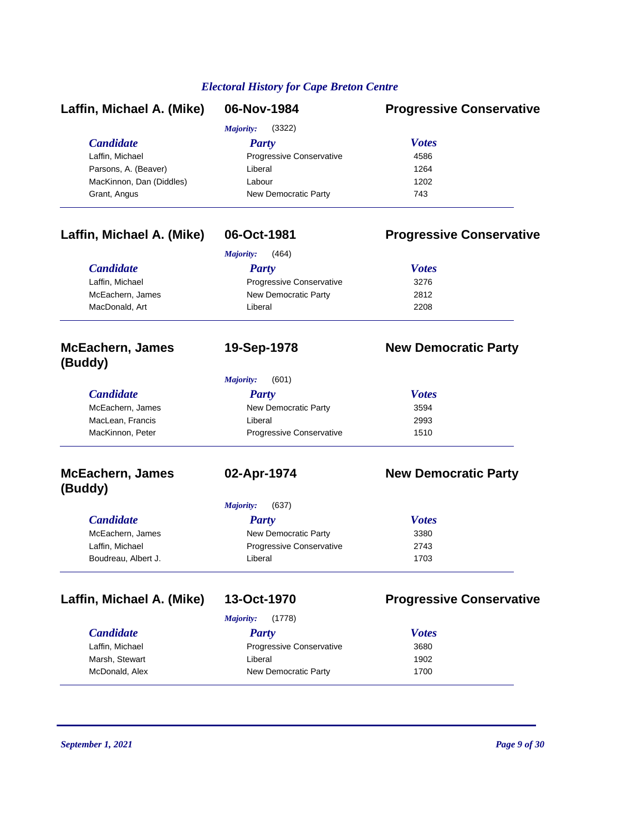| Laffin, Michael A. (Mike)          | 06-Nov-1984                | <b>Progressive Conservative</b> |  |
|------------------------------------|----------------------------|---------------------------------|--|
|                                    | <b>Majority:</b><br>(3322) |                                 |  |
| <b>Candidate</b>                   | <b>Party</b>               | <b>Votes</b>                    |  |
| Laffin, Michael                    | Progressive Conservative   | 4586                            |  |
| Parsons, A. (Beaver)               | Liberal                    | 1264                            |  |
| MacKinnon, Dan (Diddles)           | Labour                     | 1202                            |  |
| Grant, Angus                       | New Democratic Party       | 743                             |  |
| Laffin, Michael A. (Mike)          | 06-Oct-1981                | <b>Progressive Conservative</b> |  |
|                                    | <b>Majority:</b><br>(464)  |                                 |  |
| <b>Candidate</b>                   | <b>Party</b>               | <b>Votes</b>                    |  |
| Laffin, Michael                    | Progressive Conservative   | 3276                            |  |
| McEachern, James                   | New Democratic Party       | 2812                            |  |
| MacDonald, Art                     | Liberal                    | 2208                            |  |
| <b>McEachern, James</b><br>(Buddy) | 19-Sep-1978                | <b>New Democratic Party</b>     |  |
|                                    | <b>Majority:</b><br>(601)  |                                 |  |
| <b>Candidate</b>                   | <b>Party</b>               | <b>Votes</b>                    |  |
| McEachern, James                   | New Democratic Party       | 3594                            |  |
| MacLean, Francis                   | Liberal                    | 2993                            |  |
| MacKinnon, Peter                   | Progressive Conservative   | 1510                            |  |
| <b>McEachern, James</b><br>(Buddy) | 02-Apr-1974                | <b>New Democratic Party</b>     |  |
|                                    | (637)<br><b>Majority:</b>  |                                 |  |
| <b>Candidate</b>                   | <b>Party</b>               | <b>Votes</b>                    |  |
| McEachern, James                   | New Democratic Party       | 3380                            |  |
| Laffin, Michael                    | Progressive Conservative   | 2743                            |  |
| Boudreau, Albert J.                | Liberal                    | 1703                            |  |
| Laffin, Michael A. (Mike)          | 13-Oct-1970                | <b>Progressive Conservative</b> |  |
|                                    | (1778)<br>Majority:        |                                 |  |
| <b>Candidate</b>                   | <b>Party</b>               | <b>Votes</b>                    |  |
| Laffin, Michael                    | Progressive Conservative   | 3680                            |  |
| Marsh, Stewart                     | Liberal                    | 1902                            |  |

McDonald, Alex **New Democratic Party** 1700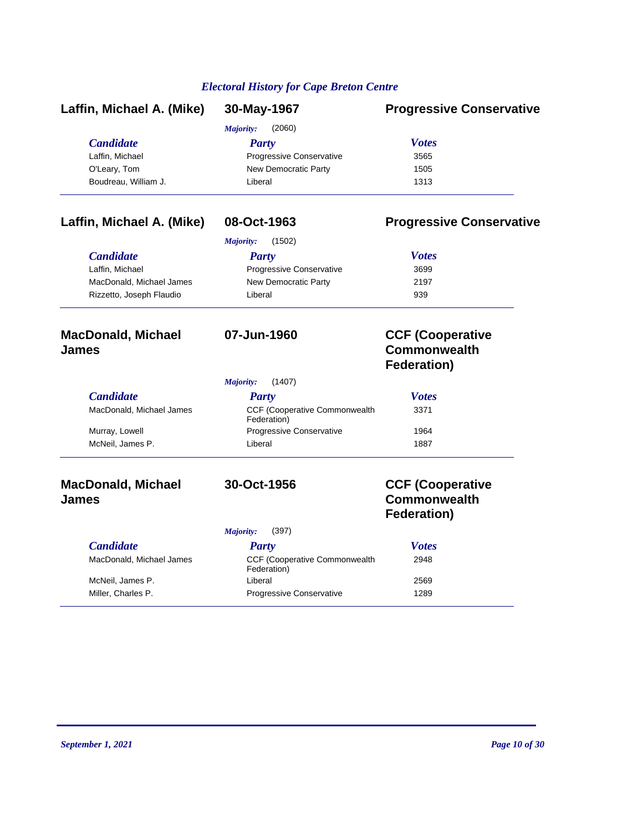| Laffin, Michael A. (Mike) | 30-May-1967              | <b>Progressive Conservative</b> |
|---------------------------|--------------------------|---------------------------------|
|                           | Majority:<br>(2060)      |                                 |
| <b>Candidate</b>          | <b>Party</b>             | <b>Votes</b>                    |
| Laffin, Michael           | Progressive Conservative | 3565                            |
| O'Leary, Tom              | New Democratic Party     | 1505                            |
| Boudreau, William J.      | Liberal                  | 1313                            |
| Laffin, Michael A. (Mike) | 08-Oct-1963              | <b>Progressive Conservative</b> |
|                           | Majority:<br>(1502)      |                                 |

| <b>Candidate</b>         | Party                           | <b>Votes</b> |
|--------------------------|---------------------------------|--------------|
| Laffin. Michael          | <b>Progressive Conservative</b> | 3699         |
| MacDonald, Michael James | New Democratic Party            | 2197         |
| Rizzetto, Joseph Flaudio | Liberal                         | 939          |
|                          |                                 |              |

### **MacDonald, Michael James**

|                          | (1407)<br>Majority:                                  |              |  |
|--------------------------|------------------------------------------------------|--------------|--|
| <b>Candidate</b>         | Party                                                | <b>Votes</b> |  |
| MacDonald, Michael James | <b>CCF (Cooperative Commonwealth)</b><br>Federation) | 3371         |  |
| Murray, Lowell           | <b>Progressive Conservative</b>                      | 1964         |  |
| McNeil, James P.         | Liberal                                              | 1887         |  |

### **MacDonald, Michael James**

McNeil, James P. Miller, Charles P.

### **30-Oct-1956 CCF (Cooperative Commonwealth Federation)**

**Commonwealth Federation)**

*Majority:* (397)

# **Candidate** *Votes*<br> **Party** *Party* **<b>Party** *Party Votes*<br>
CCF (Cooperative Commonwealth 2948 CCF (Cooperative Commonwealth MacDonald, Michael James 2948

| $-0.1$<br>Federation)           | ------ |
|---------------------------------|--------|
| Liberal                         | 2569   |
| <b>Progressive Conservative</b> | 1289   |

**07-Jun-1960 CCF (Cooperative**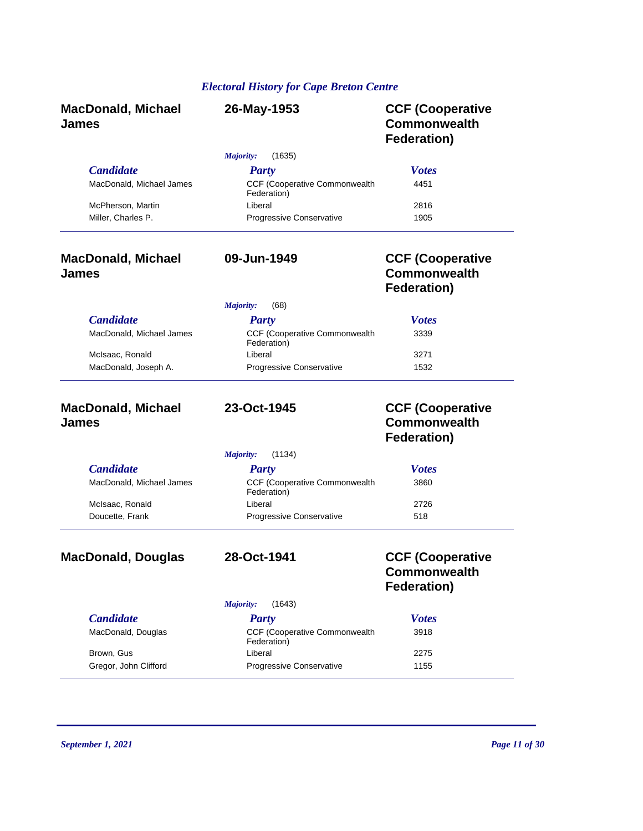| <b>MacDonald, Michael</b><br><b>James</b>    | 26-May-1953                                   | <b>CCF (Cooperative</b><br><b>Commonwealth</b><br>Federation)        |
|----------------------------------------------|-----------------------------------------------|----------------------------------------------------------------------|
|                                              | Majority:<br>(1635)                           |                                                                      |
| <b>Candidate</b><br>MacDonald, Michael James | <b>Party</b><br>CCF (Cooperative Commonwealth | <b>Votes</b><br>4451                                                 |
|                                              | Federation)                                   |                                                                      |
| McPherson, Martin<br>Miller, Charles P.      | Liberal<br>Progressive Conservative           | 2816<br>1905                                                         |
| <b>MacDonald, Michael</b><br>James           | 09-Jun-1949                                   | <b>CCF (Cooperative</b><br><b>Commonwealth</b><br>Federation)        |
|                                              | Majority:<br>(68)                             |                                                                      |
| <b>Candidate</b>                             | <b>Party</b>                                  | <b>Votes</b>                                                         |
| MacDonald, Michael James                     | CCF (Cooperative Commonwealth<br>Federation)  | 3339                                                                 |
| McIsaac, Ronald                              | Liberal                                       | 3271                                                                 |
| MacDonald, Joseph A.                         | Progressive Conservative                      | 1532                                                                 |
| <b>MacDonald, Michael</b><br>James           | 23-Oct-1945                                   | <b>CCF (Cooperative</b><br><b>Commonwealth</b><br><b>Federation)</b> |
|                                              | Majority:<br>(1134)                           |                                                                      |
| <b>Candidate</b>                             | <b>Party</b>                                  | <b>Votes</b>                                                         |
| MacDonald, Michael James                     | CCF (Cooperative Commonwealth<br>Federation)  | 3860                                                                 |
| McIsaac, Ronald                              | I iberal                                      | 2726                                                                 |
| Doucette, Frank                              | Progressive Conservative                      | 518                                                                  |
| <b>MacDonald, Douglas</b>                    | 28-Oct-1941                                   | <b>CCF (Cooperative</b><br><b>Commonwealth</b><br>Federation)        |
|                                              | (1643)<br>Majority:                           |                                                                      |
| <b>Candidate</b>                             | <b>Party</b>                                  | <b>Votes</b>                                                         |
| MacDonald, Douglas                           | CCF (Cooperative Commonwealth<br>Federation)  | 3918                                                                 |
| Brown, Gus                                   | Liberal                                       | 2275                                                                 |

Gregor, John Clifford **Progressive Conservative** 1155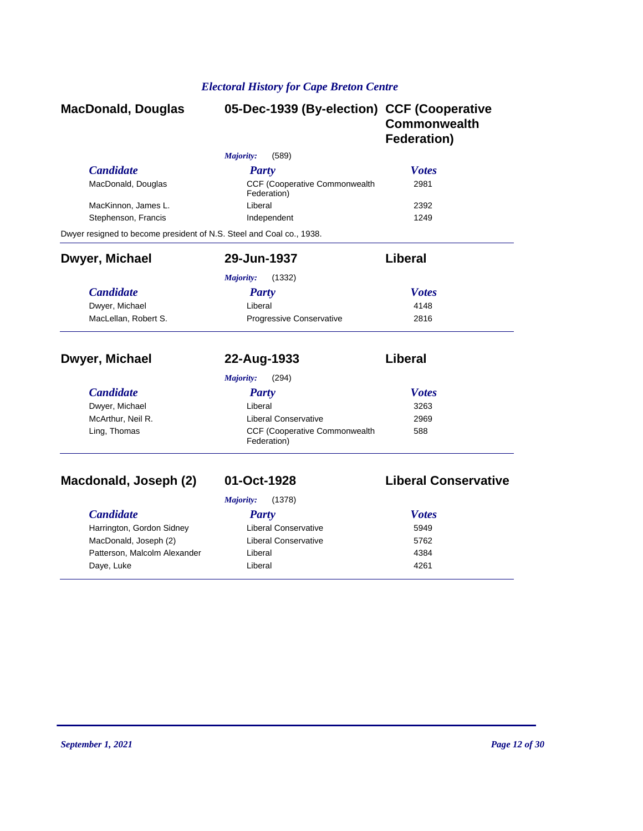| <b>MacDonald, Douglas</b>                                            | 05-Dec-1939 (By-election) CCF (Cooperative          | <b>Commonwealth</b><br><b>Federation)</b> |
|----------------------------------------------------------------------|-----------------------------------------------------|-------------------------------------------|
|                                                                      | Majority:<br>(589)                                  |                                           |
| <b>Candidate</b>                                                     | Party                                               | <b>Votes</b>                              |
| MacDonald, Douglas                                                   | <b>CCF (Cooperative Commonwealth</b><br>Federation) | 2981                                      |
| MacKinnon, James L.                                                  | Liberal                                             | 2392                                      |
| Stephenson, Francis                                                  | Independent                                         | 1249                                      |
| Dwyer resigned to become president of N.S. Steel and Coal co., 1938. |                                                     |                                           |
| Dwyer, Michael                                                       | 29-Jun-1937                                         | <b>Liberal</b>                            |
|                                                                      | (1332)<br>Majority:                                 |                                           |
| <b>Candidate</b>                                                     | <b>Party</b>                                        | <b>Votes</b>                              |
| Dwyer, Michael                                                       | Liberal                                             | 4148                                      |
| MacLellan, Robert S.                                                 | Progressive Conservative                            | 2816                                      |
| Dwyer, Michael                                                       | 22-Aug-1933                                         | Liberal                                   |
|                                                                      | (294)<br>Majority:                                  |                                           |
| <b>Candidate</b>                                                     | <b>Party</b>                                        | <b>Votes</b>                              |
| Dwyer, Michael                                                       | Liberal                                             | 3263                                      |
| McArthur, Neil R.                                                    | <b>Liberal Conservative</b>                         | 2969                                      |
| Ling, Thomas                                                         | CCF (Cooperative Commonwealth<br>Federation)        | 588                                       |
| Macdonald, Joseph (2)                                                | 01-Oct-1928                                         | <b>Liberal Conservative</b>               |
|                                                                      | (1378)                                              |                                           |
| <b>Candidate</b>                                                     | <b>Majority:</b><br><b>Party</b>                    | <b>Votes</b>                              |
| Harrington, Gordon Sidney                                            | <b>Liberal Conservative</b>                         | 5949                                      |
| MacDonald, Joseph (2)                                                | <b>Liberal Conservative</b>                         | 5762                                      |
| Patterson, Malcolm Alexander                                         | Liberal                                             | 4384                                      |
| Daye, Luke                                                           | Liberal                                             | 4261                                      |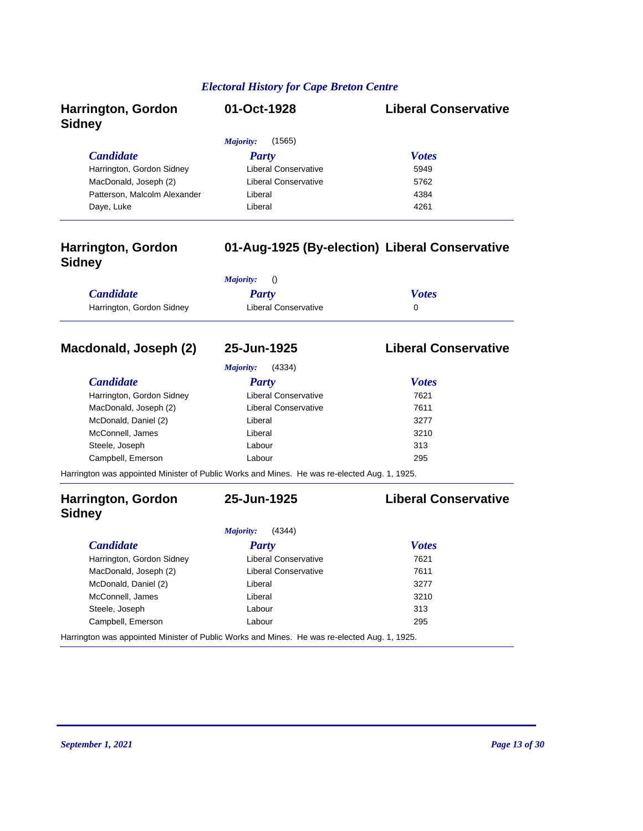| Harrington, Gordon<br><b>Sidney</b> | 01-Oct-1928          | <b>Liberal Conservative</b> |
|-------------------------------------|----------------------|-----------------------------|
|                                     | (1565)<br>Majority:  |                             |
| <b>Candidate</b>                    | Party                | <b>Votes</b>                |
| Harrington, Gordon Sidney           | Liberal Conservative | 5949                        |
| MacDonald, Joseph (2)               | Liberal Conservative | 5762                        |
| Patterson, Malcolm Alexander        | Liberal              | 4384                        |
| Daye, Luke                          | Liberal              | 4261                        |

### **Harrington, Gordon Sidney**

### **01-Aug-1925 (By-election) Liberal Conservative**

|                           | <i>Majority:</i> ()  |              |
|---------------------------|----------------------|--------------|
| <b>Candidate</b>          | Party                | <b>Votes</b> |
| Harrington, Gordon Sidney | Liberal Conservative |              |

### **Macdonald, Joseph (2) 25-Jun-1925 Liberal Conservative**

*Majority:* (4334)

| <b>Candidate</b>          | Party                                                                                        | <b>Votes</b> |
|---------------------------|----------------------------------------------------------------------------------------------|--------------|
| Harrington, Gordon Sidney | Liberal Conservative                                                                         | 7621         |
| MacDonald, Joseph (2)     | <b>Liberal Conservative</b>                                                                  | 7611         |
| McDonald, Daniel (2)      | Liberal                                                                                      | 3277         |
| McConnell, James          | Liberal                                                                                      | 3210         |
| Steele, Joseph            | Labour                                                                                       | 313          |
| Campbell, Emerson         | Labour                                                                                       | 295          |
|                           | Harrington was appointed Minister of Public Works and Mines. He was re-elected Aug. 1, 1925. |              |

### **Harrington, Gordon Sidney**

**25-Jun-1925 Liberal Conservative**

*Majority:* (4344)

### *Candidate Party Votes* Harrington, Gordon Sidney **Liberal Conservative** 7621 MacDonald, Joseph (2) Liberal Conservative 7611 McDonald, Daniel (2) **Liberal 3277 Contract 2008 Contract 2008 3277** McConnell, James Liberal Liberal 3210 Steele, Joseph **Labour Labour Labour** 313 Campbell, Emerson **Labour** Labour 295 Harrington was appointed Minister of Public Works and Mines. He was re-elected Aug. 1, 1925.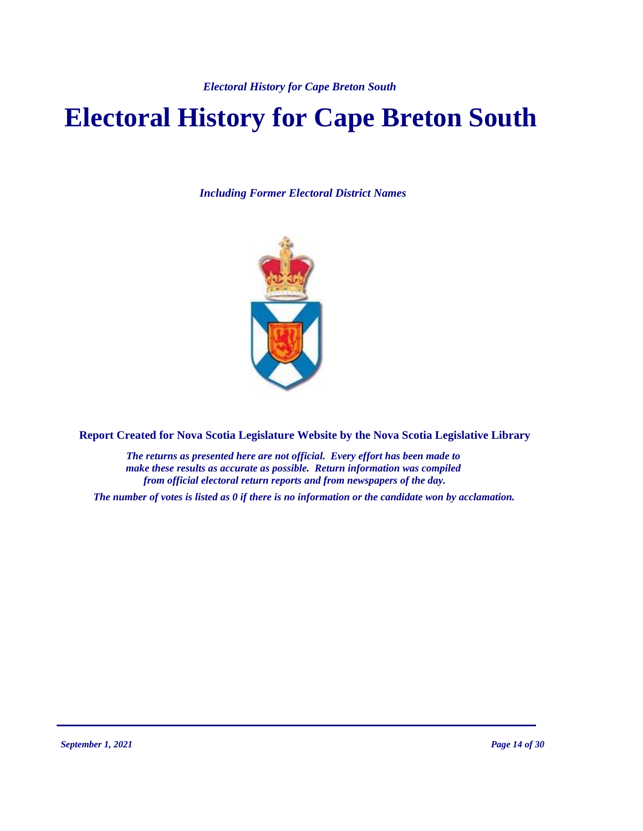# **Electoral History for Cape Breton South**

*Including Former Electoral District Names*



**Report Created for Nova Scotia Legislature Website by the Nova Scotia Legislative Library**

*The returns as presented here are not official. Every effort has been made to make these results as accurate as possible. Return information was compiled from official electoral return reports and from newspapers of the day.*

*The number of votes is listed as 0 if there is no information or the candidate won by acclamation.*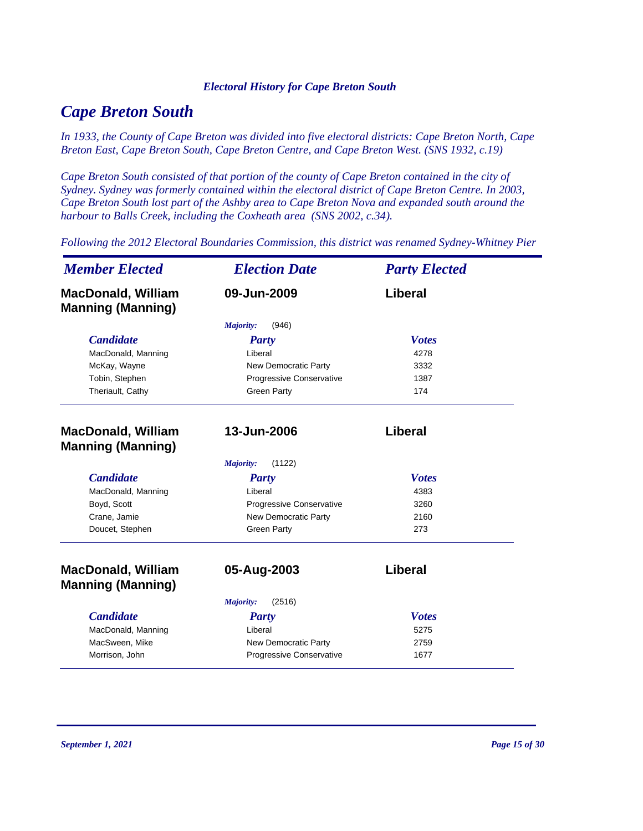# *Cape Breton South*

*In 1933, the County of Cape Breton was divided into five electoral districts: Cape Breton North, Cape Breton East, Cape Breton South, Cape Breton Centre, and Cape Breton West. (SNS 1932, c.19)*

*Cape Breton South consisted of that portion of the county of Cape Breton contained in the city of Sydney. Sydney was formerly contained within the electoral district of Cape Breton Centre. In 2003, Cape Breton South lost part of the Ashby area to Cape Breton Nova and expanded south around the harbour to Balls Creek, including the Coxheath area (SNS 2002, c.34).*

*Following the 2012 Electoral Boundaries Commission, this district was renamed Sydney-Whitney Pier*

| <b>Member Elected</b>                                 | <b>Election Date</b>        | <b>Party Elected</b> |
|-------------------------------------------------------|-----------------------------|----------------------|
| <b>MacDonald, William</b><br><b>Manning (Manning)</b> | 09-Jun-2009                 | Liberal              |
|                                                       | Majority:<br>(946)          |                      |
| <b>Candidate</b>                                      | Party                       | <b>Votes</b>         |
| MacDonald, Manning                                    | Liberal                     | 4278                 |
| McKay, Wayne                                          | New Democratic Party        | 3332                 |
| Tobin, Stephen                                        | Progressive Conservative    | 1387                 |
| Theriault, Cathy                                      | <b>Green Party</b>          | 174                  |
| <b>MacDonald, William</b><br><b>Manning (Manning)</b> | 13-Jun-2006                 | Liberal              |
|                                                       | Majority:<br>(1122)         |                      |
| <b>Candidate</b>                                      | Party                       | <b>Votes</b>         |
| MacDonald, Manning                                    | Liberal                     | 4383                 |
| Boyd, Scott                                           | Progressive Conservative    | 3260                 |
| Crane, Jamie                                          | <b>New Democratic Party</b> | 2160                 |
| Doucet, Stephen                                       | <b>Green Party</b>          | 273                  |
| <b>MacDonald, William</b><br><b>Manning (Manning)</b> | 05-Aug-2003                 | Liberal              |
|                                                       | (2516)<br>Majority:         |                      |
| <b>Candidate</b>                                      | <b>Party</b>                | <b>Votes</b>         |
| MacDonald, Manning                                    | Liberal                     | 5275                 |
| MacSween, Mike                                        | New Democratic Party        | 2759                 |
| Morrison, John                                        | Progressive Conservative    | 1677                 |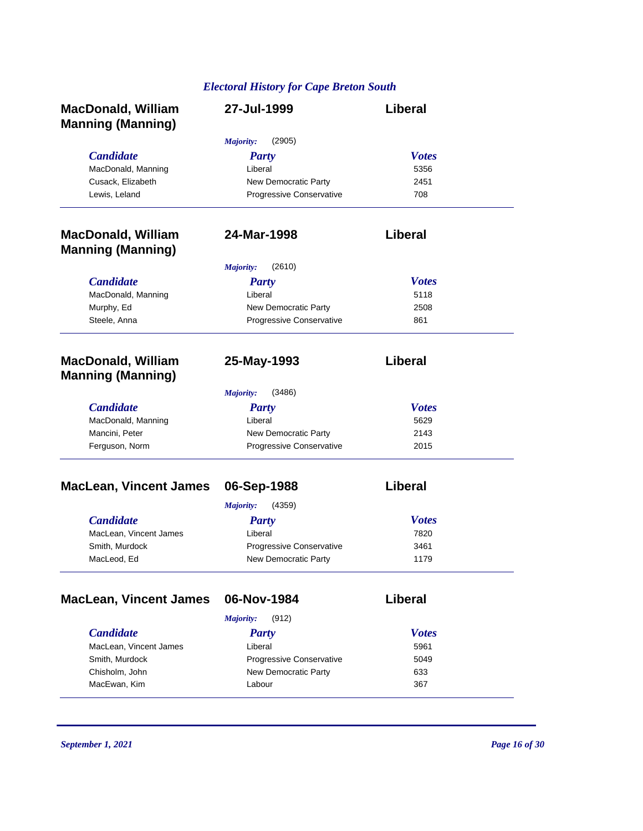| <b>MacDonald, William</b><br><b>Manning (Manning)</b> | 27-Jul-1999                | Liberal      |
|-------------------------------------------------------|----------------------------|--------------|
|                                                       | (2905)<br><b>Majority:</b> |              |
| <b>Candidate</b>                                      | <b>Party</b>               | <b>Votes</b> |
| MacDonald, Manning                                    | Liberal                    | 5356         |
| Cusack, Elizabeth                                     | New Democratic Party       | 2451         |
| Lewis, Leland                                         | Progressive Conservative   | 708          |
| <b>MacDonald, William</b>                             | 24-Mar-1998                | Liberal      |
| <b>Manning (Manning)</b>                              |                            |              |
|                                                       | (2610)<br><b>Majority:</b> |              |
| <b>Candidate</b>                                      | <b>Party</b>               | <b>Votes</b> |
| MacDonald, Manning                                    | Liberal                    | 5118         |
| Murphy, Ed                                            | New Democratic Party       | 2508         |
| Steele, Anna                                          | Progressive Conservative   | 861          |
| <b>MacDonald, William</b><br><b>Manning (Manning)</b> | 25-May-1993                | Liberal      |
|                                                       | Majority:<br>(3486)        |              |
| <b>Candidate</b>                                      | <b>Party</b>               | <b>Votes</b> |
| MacDonald, Manning                                    | Liberal                    | 5629         |
| Mancini, Peter                                        | New Democratic Party       | 2143         |
| Ferguson, Norm                                        | Progressive Conservative   | 2015         |
| <b>MacLean, Vincent James</b>                         | 06-Sep-1988                | Liberal      |
|                                                       | (4359)<br>Majority:        |              |
| <b>Candidate</b>                                      | <b>Party</b>               | <b>Votes</b> |
| MacLean, Vincent James                                | Liberal                    | 7820         |
| Smith, Murdock                                        | Progressive Conservative   | 3461         |
| MacLeod, Ed                                           | New Democratic Party       | 1179         |
| <b>MacLean, Vincent James</b>                         | 06-Nov-1984                | Liberal      |
|                                                       | Majority:<br>(912)         |              |
| <b>Candidate</b>                                      | <b>Party</b>               | <b>Votes</b> |
| MacLean, Vincent James                                | Liberal                    | 5961         |
| Smith, Murdock                                        | Progressive Conservative   | 5049         |
| Chisholm, John                                        | New Democratic Party       | 633          |
| MacEwan, Kim                                          | Labour                     | 367          |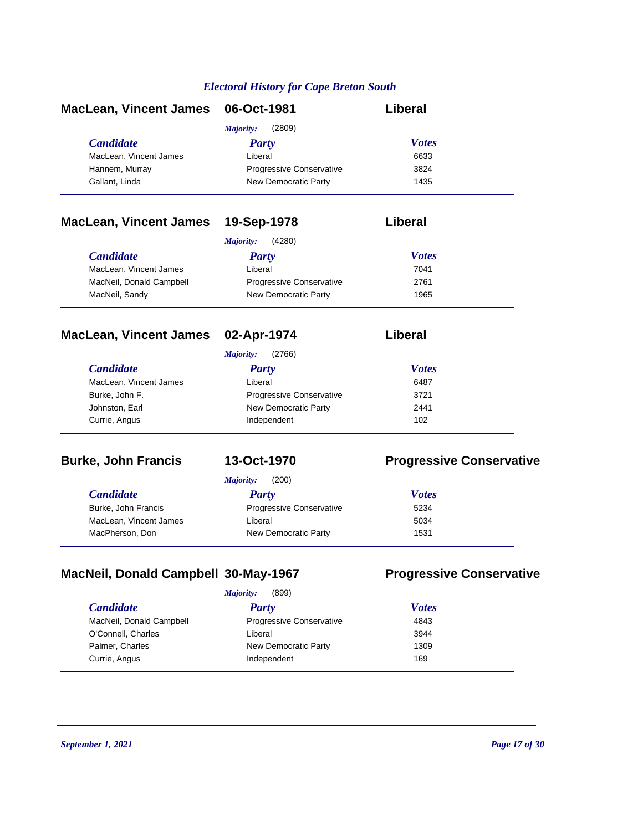| MacLean, Vincent James 06-Oct-1981 |                                 | Liberal      |
|------------------------------------|---------------------------------|--------------|
|                                    | (2809)<br>Majority:             |              |
| <i>Candidate</i>                   | <b>Party</b>                    | <b>Votes</b> |
| MacLean, Vincent James             | Liberal                         | 6633         |
| Hannem, Murray                     | <b>Progressive Conservative</b> | 3824         |
| Gallant, Linda                     | New Democratic Party            | 1435         |

### **MacLean, Vincent James 19-Sep-1978 Liberal**

|                          | (4280)<br><i>Majority:</i>      |              |
|--------------------------|---------------------------------|--------------|
| <i>Candidate</i>         | Party                           | <b>Votes</b> |
| MacLean, Vincent James   | Liberal                         | 7041         |
| MacNeil, Donald Campbell | <b>Progressive Conservative</b> | 2761         |
| MacNeil, Sandy           | New Democratic Party            | 1965         |

### **MacLean, Vincent James 02-Apr-1974 Liberal**

| <i>Majority:</i> | (2766) |  |
|------------------|--------|--|
| <b>Party</b>     |        |  |

| <i>Candidate</i>       | <b>Party</b>                    | <b>Votes</b> |  |
|------------------------|---------------------------------|--------------|--|
| MacLean, Vincent James | Liberal                         | 6487         |  |
| Burke, John F.         | <b>Progressive Conservative</b> | 3721         |  |
| Johnston, Earl         | New Democratic Party            | 2441         |  |
| Currie, Angus          | Independent                     | 102          |  |
|                        |                                 |              |  |

### **Burke, John Francis 13-Oct-1970 Progressive Conservative**

|                        | (200)<br>Majority:              |              |
|------------------------|---------------------------------|--------------|
| <i>Candidate</i>       | Party                           | <b>Votes</b> |
| Burke, John Francis    | <b>Progressive Conservative</b> | 5234         |
| MacLean, Vincent James | Liberal                         | 5034         |
| MacPherson, Don        | New Democratic Party            | 1531         |

## **MacNeil, Donald Campbell 30-May-1967 Progressive Conservative**

| Majority: | (899) |
|-----------|-------|
|           |       |

| <i>Candidate</i><br>Party                                   | <b>Votes</b> |
|-------------------------------------------------------------|--------------|
| MacNeil, Donald Campbell<br><b>Progressive Conservative</b> | 4843         |
| O'Connell, Charles<br>Liberal                               | 3944         |
| Palmer, Charles<br>New Democratic Party                     | 1309         |
| Currie, Angus<br>Independent                                | 169          |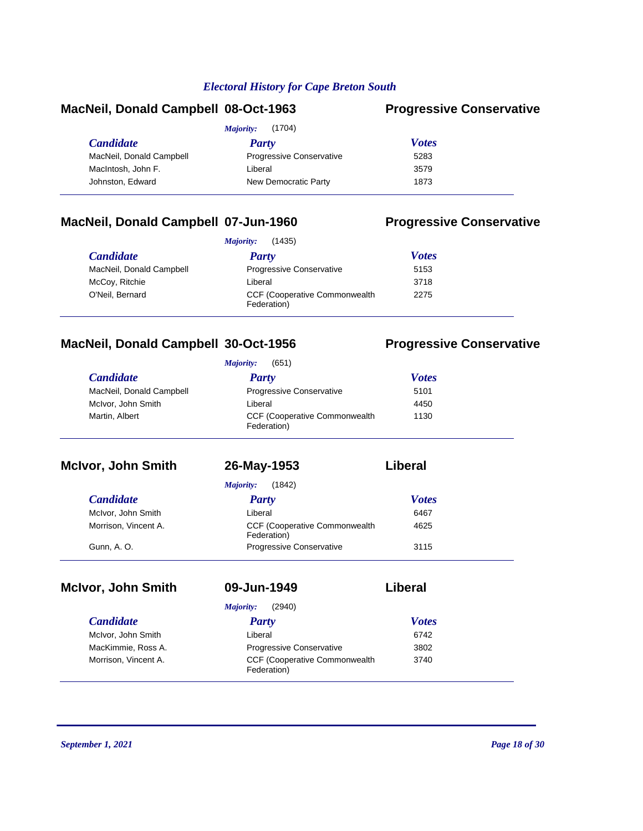### **MacNeil, Donald Campbell 08-Oct-1963 Progressive Conservative**

|                          | (1704)<br>Majority:             |              |
|--------------------------|---------------------------------|--------------|
| <i>Candidate</i>         | Party                           | <b>Votes</b> |
| MacNeil, Donald Campbell | <b>Progressive Conservative</b> | 5283         |
| MacIntosh, John F.       | Liberal                         | 3579         |
| Johnston, Edward         | New Democratic Party            | 1873         |
|                          |                                 |              |

### **MacNeil, Donald Campbell 07-Jun-1960 Progressive Conservative**

|                          | (1435)<br>Majority:                                  |              |
|--------------------------|------------------------------------------------------|--------------|
| <i>Candidate</i>         | <b>Party</b>                                         | <b>Votes</b> |
| MacNeil, Donald Campbell | <b>Progressive Conservative</b>                      | 5153         |
| McCoy, Ritchie           | Liberal                                              | 3718         |
| O'Neil, Bernard          | <b>CCF (Cooperative Commonwealth)</b><br>Federation) | 2275         |

## **MacNeil, Donald Campbell 30-Oct-1956 Progressive Conservative**

| <b>Majority:</b> | (651) |
|------------------|-------|
|------------------|-------|

| <b>Candidate</b>         | Party                                                | <b>Votes</b> |
|--------------------------|------------------------------------------------------|--------------|
| MacNeil, Donald Campbell | <b>Progressive Conservative</b>                      | 5101         |
| McIvor, John Smith       | Liberal                                              | 4450         |
| Martin, Albert           | <b>CCF (Cooperative Commonwealth)</b><br>Federation) | 1130         |

| <b>McIvor, John Smith</b> | 26-May-1953                                          | Liberal      |
|---------------------------|------------------------------------------------------|--------------|
|                           | (1842)<br>Majority:                                  |              |
| <b>Candidate</b>          | <b>Party</b>                                         | <b>Votes</b> |
| McIvor, John Smith        | Liberal                                              | 6467         |
| Morrison, Vincent A.      | <b>CCF (Cooperative Commonwealth)</b><br>Federation) | 4625         |
| Gunn, A. O.               | <b>Progressive Conservative</b>                      | 3115         |

# **McIvor, John Smith 09-Jun-1949 Liberal**

| 9-Jun-1949 |  |
|------------|--|
|            |  |

|                      | (2940)<br>Majority:                                  |              |  |
|----------------------|------------------------------------------------------|--------------|--|
| <b>Candidate</b>     | <b>Party</b>                                         | <b>Votes</b> |  |
| McIvor, John Smith   | Liberal                                              | 6742         |  |
| MacKimmie, Ross A.   | <b>Progressive Conservative</b>                      | 3802         |  |
| Morrison, Vincent A. | <b>CCF (Cooperative Commonwealth)</b><br>Federation) | 3740         |  |
|                      |                                                      |              |  |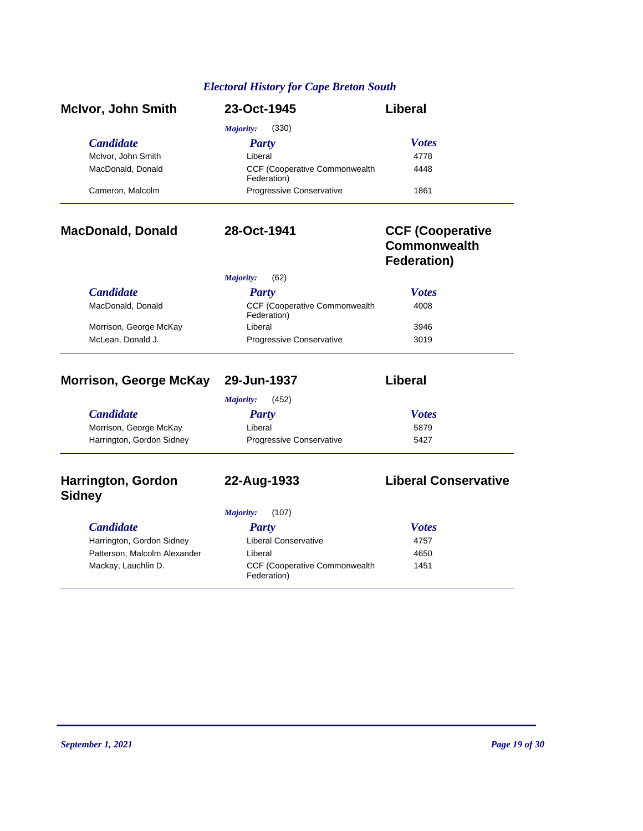| <b>McIvor, John Smith</b> | 23-Oct-1945                                          | Liberal      |
|---------------------------|------------------------------------------------------|--------------|
|                           | (330)<br>Majority:                                   |              |
| <b>Candidate</b>          | Party                                                | <b>Votes</b> |
| McIvor, John Smith        | Liberal                                              | 4778         |
| MacDonald, Donald         | <b>CCF (Cooperative Commonwealth)</b><br>Federation) | 4448         |
| Cameron, Malcolm          | Progressive Conservative                             | 1861         |

### **MacDonald, Donald 28-Oct-1941 CCF (Cooperative Commonwealth Federation)**

|                        | (62)<br>Majority:                            |              |
|------------------------|----------------------------------------------|--------------|
| <b>Candidate</b>       | <b>Party</b>                                 | <b>Votes</b> |
| MacDonald, Donald      | CCF (Cooperative Commonwealth<br>Federation) | 4008         |
| Morrison, George McKay | Liberal                                      | 3946         |
| McLean, Donald J.      | Progressive Conservative                     | 3019         |

## **Morrison, George McKay 29-Jun-1937 Liberal**

|                           | (452)<br>Majority:              |              |  |
|---------------------------|---------------------------------|--------------|--|
| <b>Candidate</b>          | Party                           | <b>Votes</b> |  |
| Morrison, George McKay    | Liberal                         | 5879         |  |
| Harrington, Gordon Sidney | <b>Progressive Conservative</b> | 5427         |  |

**22-Aug-1933 Liberal Conservative**

### **Harrington, Gordon Sidney**

*Majority:* (107)

| <b>Candidate</b>             | Party                                                | <b>Votes</b> |
|------------------------------|------------------------------------------------------|--------------|
| Harrington, Gordon Sidney    | Liberal Conservative                                 | 4757         |
| Patterson, Malcolm Alexander | Liberal                                              | 4650         |
| Mackay, Lauchlin D.          | <b>CCF (Cooperative Commonwealth)</b><br>Federation) | 1451         |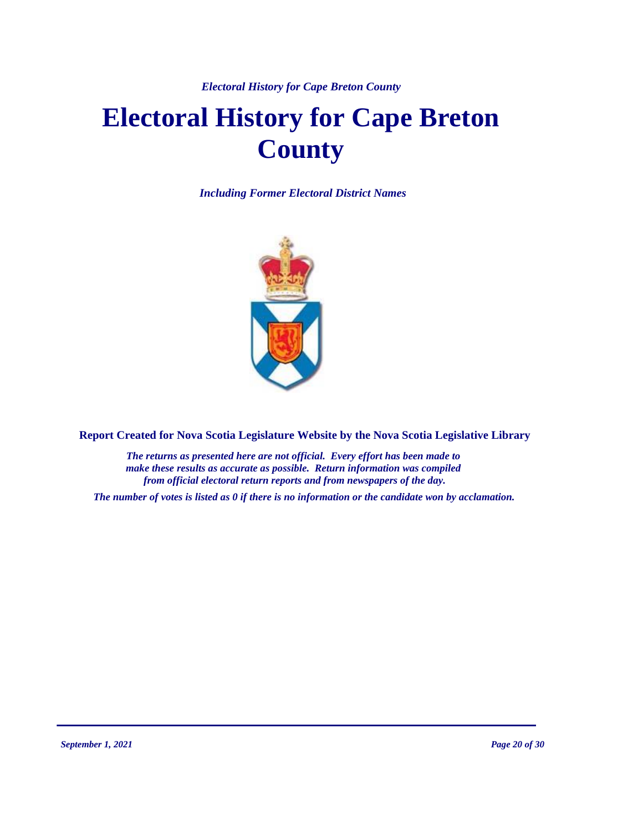# **Electoral History for Cape Breton County**

*Including Former Electoral District Names*



**Report Created for Nova Scotia Legislature Website by the Nova Scotia Legislative Library**

*The returns as presented here are not official. Every effort has been made to make these results as accurate as possible. Return information was compiled from official electoral return reports and from newspapers of the day.*

*The number of votes is listed as 0 if there is no information or the candidate won by acclamation.*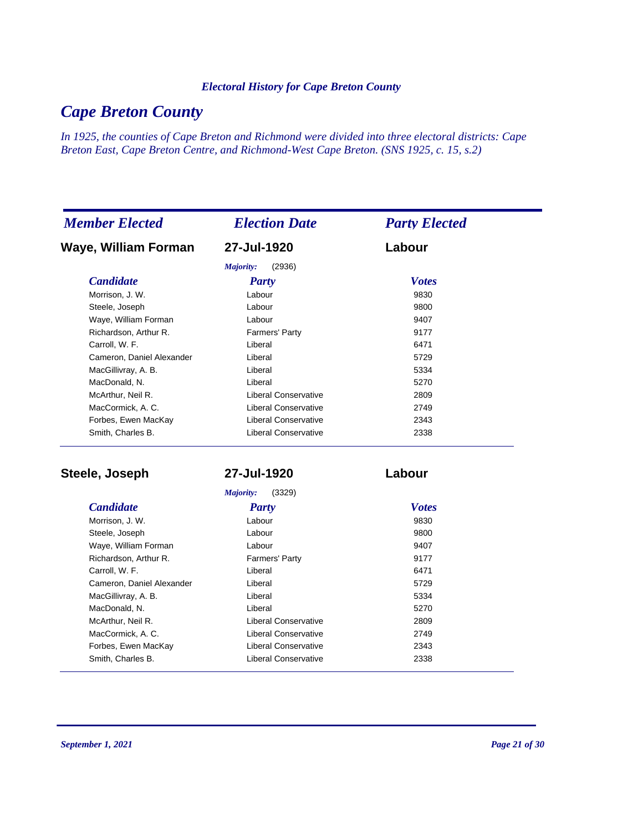# *Cape Breton County*

*In 1925, the counties of Cape Breton and Richmond were divided into three electoral districts: Cape Breton East, Cape Breton Centre, and Richmond-West Cape Breton. (SNS 1925, c. 15, s.2)*

| <b>Member Elected</b>     | <b>Election Date</b> | <b>Party Elected</b> |
|---------------------------|----------------------|----------------------|
| Waye, William Forman      | 27-Jul-1920          | Labour               |
|                           | (2936)<br>Majority:  |                      |
| <b>Candidate</b>          | <b>Party</b>         | <b>Votes</b>         |
| Morrison, J. W.           | Labour               | 9830                 |
| Steele, Joseph            | Labour               | 9800                 |
| Waye, William Forman      | Labour               | 9407                 |
| Richardson, Arthur R.     | Farmers' Party       | 9177                 |
| Carroll, W. F.            | Liberal              | 6471                 |
| Cameron, Daniel Alexander | Liberal              | 5729                 |
| MacGillivray, A. B.       | Liberal              | 5334                 |
| MacDonald, N.             | Liberal              | 5270                 |
| McArthur, Neil R.         | Liberal Conservative | 2809                 |
| MacCormick, A. C.         | Liberal Conservative | 2749                 |
| Forbes, Ewen MacKay       | Liberal Conservative | 2343                 |
| Smith, Charles B.         | Liberal Conservative | 2338                 |

**Steele, Joseph 27-Jul-1920 Labour**

*Majority:* (3329)

| Morrison, J. W.           | Labour                      | 9830 |
|---------------------------|-----------------------------|------|
| Steele, Joseph            | Labour                      | 9800 |
| Waye, William Forman      | Labour                      | 9407 |
| Richardson, Arthur R.     | Farmers' Party              | 9177 |
| Carroll, W. F.            | Liberal                     | 6471 |
| Cameron, Daniel Alexander | Liberal                     | 5729 |
| MacGillivray, A. B.       | Liberal                     | 5334 |
| MacDonald, N.             | Liberal                     | 5270 |
| McArthur, Neil R.         | Liberal Conservative        | 2809 |
| MacCormick, A. C.         | Liberal Conservative        | 2749 |
| Forbes, Ewen MacKay       | Liberal Conservative        | 2343 |
| Smith, Charles B.         | <b>Liberal Conservative</b> | 2338 |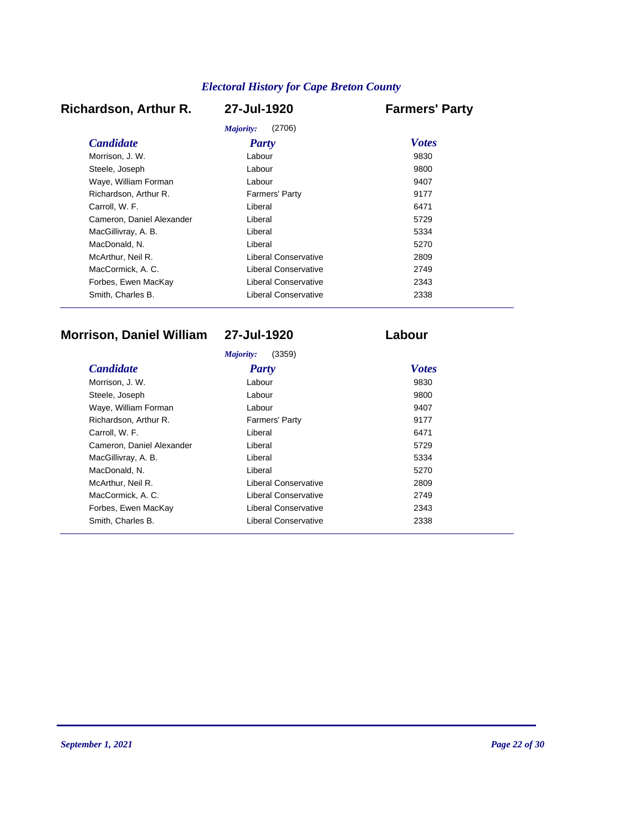## **Richardson, Arthur R. 27-Jul-1920 Farmers' Party**

|                           | (2706)<br>Majority:  |              |
|---------------------------|----------------------|--------------|
| <b>Candidate</b>          | Party                | <b>Votes</b> |
| Morrison, J. W.           | Labour               | 9830         |
| Steele, Joseph            | Labour               | 9800         |
| Waye, William Forman      | Labour               | 9407         |
| Richardson, Arthur R.     | Farmers' Party       | 9177         |
| Carroll, W. F.            | Liberal              | 6471         |
| Cameron, Daniel Alexander | Liberal              | 5729         |
| MacGillivray, A. B.       | Liberal              | 5334         |
| MacDonald, N.             | Liberal              | 5270         |
| McArthur, Neil R.         | Liberal Conservative | 2809         |
| MacCormick, A. C.         | Liberal Conservative | 2749         |
| Forbes, Ewen MacKay       | Liberal Conservative | 2343         |
| Smith, Charles B.         | Liberal Conservative | 2338         |

# **Morrison, Daniel William 27-Jul-1920 Labour**

|                           | (3359)<br>Majority:   |              |
|---------------------------|-----------------------|--------------|
| <i>Candidate</i>          | Party                 | <b>Votes</b> |
| Morrison. J. W.           | Labour                | 9830         |
| Steele, Joseph            | Labour                | 9800         |
| Waye, William Forman      | Labour                | 9407         |
| Richardson, Arthur R.     | <b>Farmers' Party</b> | 9177         |
| Carroll, W. F.            | Liberal               | 6471         |
| Cameron, Daniel Alexander | Liberal               | 5729         |
| MacGillivray, A. B.       | Liberal               | 5334         |
| MacDonald, N.             | Liberal               | 5270         |
| McArthur, Neil R.         | Liberal Conservative  | 2809         |
| MacCormick, A. C.         | Liberal Conservative  | 2749         |
| Forbes, Ewen MacKay       | Liberal Conservative  | 2343         |
| Smith, Charles B.         | Liberal Conservative  | 2338         |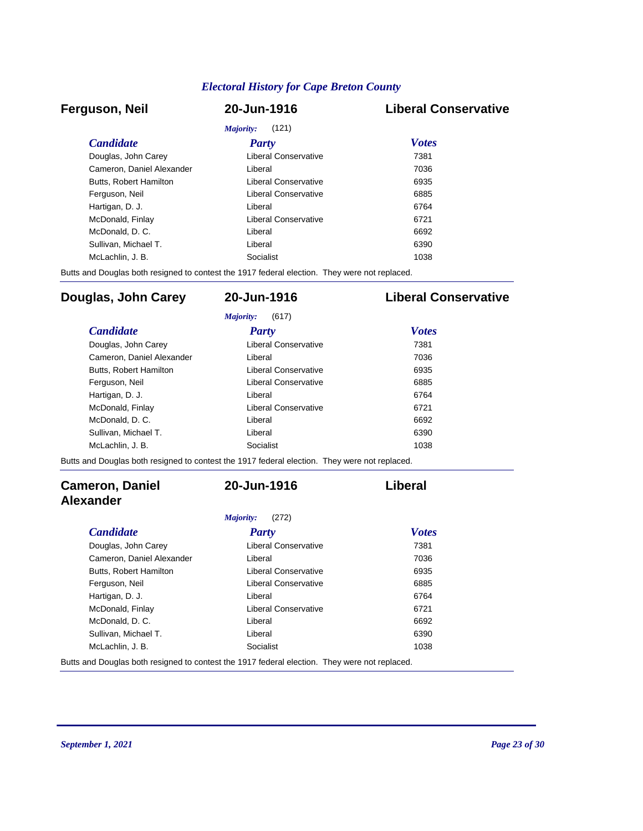### **Ferguson, Neil 20-Jun-1916 Liberal Conservative**

| <i>Majority:</i><br>(121) |                      |              |  |  |
|---------------------------|----------------------|--------------|--|--|
| <b>Candidate</b>          | <b>Party</b>         | <b>Votes</b> |  |  |
| Douglas, John Carey       | Liberal Conservative | 7381         |  |  |
| Cameron, Daniel Alexander | Liberal              | 7036         |  |  |
| Butts, Robert Hamilton    | Liberal Conservative | 6935         |  |  |
| Ferguson, Neil            | Liberal Conservative | 6885         |  |  |
| Hartigan, D. J.           | Liberal              | 6764         |  |  |
| McDonald, Finlay          | Liberal Conservative | 6721         |  |  |
| McDonald, D. C.           | Liberal              | 6692         |  |  |
| Sullivan, Michael T.      | Liberal              | 6390         |  |  |
| McLachlin, J. B.          | Socialist            | 1038         |  |  |

Butts and Douglas both resigned to contest the 1917 federal election. They were not replaced.

### **Douglas, John Carey 20-Jun-1916 Liberal Conservative**

|                               | (617)<br>Majority:   |              |
|-------------------------------|----------------------|--------------|
| <i>Candidate</i>              | <b>Party</b>         | <b>Votes</b> |
| Douglas, John Carey           | Liberal Conservative | 7381         |
| Cameron, Daniel Alexander     | I iberal             | 7036         |
| <b>Butts. Robert Hamilton</b> | Liberal Conservative | 6935         |
| Ferguson, Neil                | Liberal Conservative | 6885         |
| Hartigan, D. J.               | I iberal             | 6764         |
| McDonald, Finlay              | Liberal Conservative | 6721         |
| McDonald, D.C.                | I iberal             | 6692         |
| Sullivan. Michael T.          | Liberal              | 6390         |
| McLachlin. J. B.              | Socialist            | 1038         |

Butts and Douglas both resigned to contest the 1917 federal election. They were not replaced.

### **Cameron, Daniel Alexander**

### *Majority:* (272)

### *Candidate Party Votes* Douglas, John Carey Liberal Conservative 7381 Cameron, Daniel Alexander Liberal Liberal 2036 Butts, Robert Hamilton Liberal Conservative 6935 Ferguson, Neil **Example 2018** Liberal Conservative **6885** Hartigan, D. J. Chartigan, D. J. Chartigan, D. J. Chartigan, D. J. Chartigan, C. Chartigan, C. Chartigan, C. Chartes and C. Chartes and C. Chartes and C. Chartes and C. Chartes and C. Chartes and C. Chartes and C. Chartes McDonald, Finlay **McDonald, Finlay Liberal Conservative** 6721 McDonald, D. C. C. C. Liberal Liberal Contract Contract Contract Contract Contract Contract Contract Contract Contract Contract Contract Contract Contract Contract Contract Contract Contract Contract Contract Contract Cont Sullivan, Michael T. Christian Communication Communication Communication Communication Communication Communication Communication Communication Communication Communication Communication Communication Communication Communica McLachlin, J. B. Socialist Socialist 1038

**20-Jun-1916 Liberal**

Butts and Douglas both resigned to contest the 1917 federal election. They were not replaced.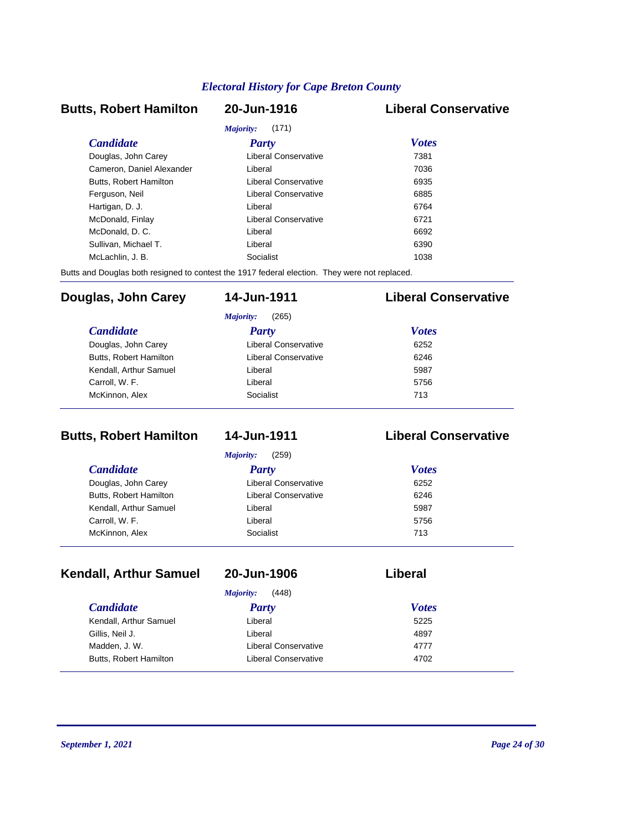### **Butts, Robert Hamilton 20-Jun-1916 Liberal Conservative** *Majority:* (171)

|                           | <i>Majority</i> : (171) |              |  |
|---------------------------|-------------------------|--------------|--|
| <i>Candidate</i>          | Party                   | <b>Votes</b> |  |
| Douglas, John Carey       | Liberal Conservative    | 7381         |  |
| Cameron, Daniel Alexander | Liberal                 | 7036         |  |
| Butts, Robert Hamilton    | Liberal Conservative    | 6935         |  |
| Ferguson, Neil            | Liberal Conservative    | 6885         |  |
| Hartigan, D. J.           | Liberal                 | 6764         |  |
| McDonald, Finlay          | Liberal Conservative    | 6721         |  |
| McDonald, D. C.           | Liberal                 | 6692         |  |
| Sullivan, Michael T.      | Liberal                 | 6390         |  |
| McLachlin, J. B.          | Socialist               | 1038         |  |

Butts and Douglas both resigned to contest the 1917 federal election. They were not replaced.

### **Douglas, John Carey 14-Jun-1911 Liberal Conservative**

| <b>Candidate</b>       | <b>Party</b>         | <b>Votes</b> |
|------------------------|----------------------|--------------|
| Douglas, John Carey    | Liberal Conservative | 6252         |
| Butts, Robert Hamilton | Liberal Conservative | 6246         |
| Kendall, Arthur Samuel | Liberal              | 5987         |
| Carroll, W. F.         | Liberal              | 5756         |
| McKinnon, Alex         | Socialist            | 713          |

### **Butts, Robert Hamilton 14-Jun-1911 Liberal Conservative**

| (259)<br>Majority:     |                      |              |
|------------------------|----------------------|--------------|
| <i>Candidate</i>       | <b>Party</b>         | <b>Votes</b> |
| Douglas, John Carey    | Liberal Conservative | 6252         |
| Butts, Robert Hamilton | Liberal Conservative | 6246         |
| Kendall, Arthur Samuel | Liberal              | 5987         |
| Carroll, W. F.         | Liberal              | 5756         |
| McKinnon, Alex         | Socialist            | 713          |

## **Kendall, Arthur Samuel 20-Jun-1906 Liberal**

### *Majority:* (448)

| <i>Candidate</i>       | <b>Party</b>         | <b>Votes</b> |  |
|------------------------|----------------------|--------------|--|
| Kendall, Arthur Samuel | Liberal              | 5225         |  |
| Gillis, Neil J.        | Liberal              | 4897         |  |
| Madden, J. W.          | Liberal Conservative | 4777         |  |
| Butts, Robert Hamilton | Liberal Conservative | 4702         |  |
|                        |                      |              |  |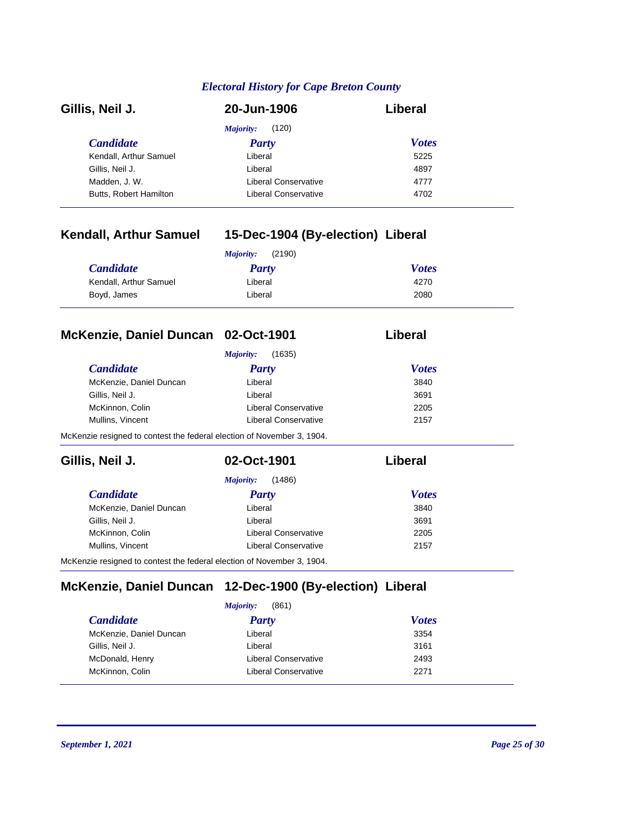| Gillis, Neil J.        | 20-Jun-1906          | Liberal      |  |
|------------------------|----------------------|--------------|--|
|                        | (120)<br>Majority:   |              |  |
| <b>Candidate</b>       | Party                | <b>Votes</b> |  |
| Kendall, Arthur Samuel | Liberal              | 5225         |  |
| Gillis, Neil J.        | Liberal              | 4897         |  |
| Madden, J. W.          | Liberal Conservative | 4777         |  |
| Butts, Robert Hamilton | Liberal Conservative | 4702         |  |

### **Kendall, Arthur Samuel 15-Dec-1904 (By-election) Liberal**

| (2190)<br>Majority:    |         |              |
|------------------------|---------|--------------|
| <b>Candidate</b>       | Party   | <b>Votes</b> |
| Kendall, Arthur Samuel | Liberal | 4270         |
| Boyd, James            | Liberal | 2080         |

## **McKenzie, Daniel Duncan 02-Oct-1901 Liberal**

| <i>Candidate</i>        | Party                | <b>Votes</b> |
|-------------------------|----------------------|--------------|
| McKenzie, Daniel Duncan | Liberal              | 3840         |
| Gillis, Neil J.         | Liberal              | 3691         |
| McKinnon, Colin         | Liberal Conservative | 2205         |
| Mullins, Vincent        | Liberal Conservative | 2157         |

McKenzie resigned to contest the federal election of November 3, 1904.

| Gillis, Neil J.         | 02-Oct-1901          | Liberal      |
|-------------------------|----------------------|--------------|
|                         | (1486)<br>Majority:  |              |
| <b>Candidate</b>        | <b>Party</b>         | <b>Votes</b> |
| McKenzie, Daniel Duncan | Liberal              | 3840         |
| Gillis, Neil J.         | Liberal              | 3691         |
| McKinnon, Colin         | Liberal Conservative | 2205         |
| Mullins, Vincent        | Liberal Conservative | 2157         |

McKenzie resigned to contest the federal election of November 3, 1904.

### **McKenzie, Daniel Duncan 12-Dec-1900 (By-election) Liberal**

| (861)<br>Majority:      |                             |              |
|-------------------------|-----------------------------|--------------|
| <b>Candidate</b>        | <b>Party</b>                | <b>Votes</b> |
| McKenzie, Daniel Duncan | Liberal                     | 3354         |
| Gillis, Neil J.         | Liberal                     | 3161         |
| McDonald, Henry         | <b>Liberal Conservative</b> | 2493         |
| McKinnon, Colin         | Liberal Conservative        | 2271         |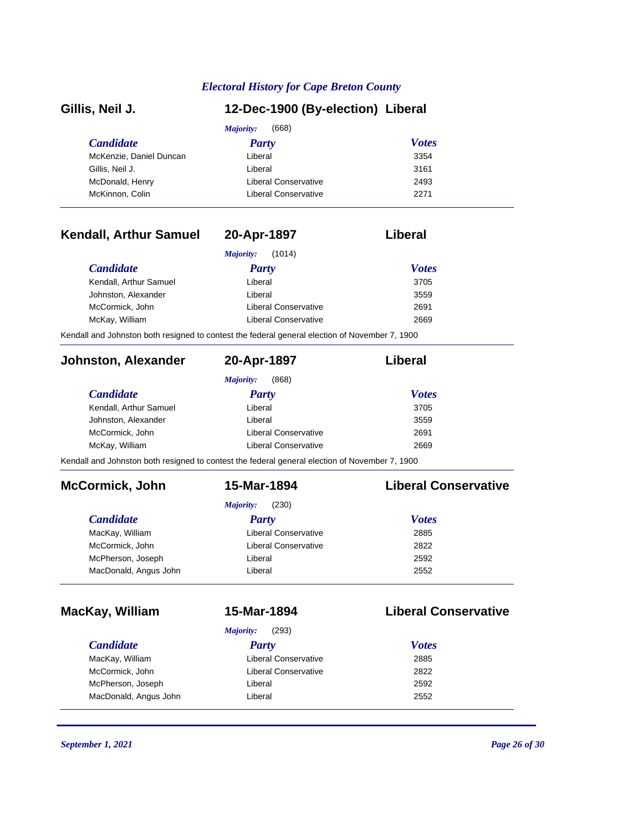| Gillis, Neil J.                                                                                | 12-Dec-1900 (By-election) Liberal |                             |  |
|------------------------------------------------------------------------------------------------|-----------------------------------|-----------------------------|--|
|                                                                                                | (668)<br>Majority:                |                             |  |
| <b>Candidate</b>                                                                               | <b>Party</b>                      | <b>Votes</b>                |  |
| McKenzie, Daniel Duncan                                                                        | Liberal                           | 3354                        |  |
| Gillis, Neil J.                                                                                | Liberal                           | 3161                        |  |
| McDonald, Henry                                                                                | Liberal Conservative              | 2493                        |  |
| McKinnon, Colin                                                                                | <b>Liberal Conservative</b>       | 2271                        |  |
| <b>Kendall, Arthur Samuel</b>                                                                  | 20-Apr-1897                       | Liberal                     |  |
|                                                                                                | Majority:<br>(1014)               |                             |  |
| <b>Candidate</b>                                                                               | <b>Party</b>                      | <b>Votes</b>                |  |
| Kendall, Arthur Samuel                                                                         | Liberal                           | 3705                        |  |
| Johnston, Alexander                                                                            | Liberal                           | 3559                        |  |
| McCormick, John                                                                                | Liberal Conservative              | 2691                        |  |
| McKay, William                                                                                 | <b>Liberal Conservative</b>       | 2669                        |  |
| Kendall and Johnston both resigned to contest the federal general election of November 7, 1900 |                                   |                             |  |
| <b>Johnston, Alexander</b>                                                                     | 20-Apr-1897                       | Liberal                     |  |
|                                                                                                | <b>Majority:</b><br>(868)         |                             |  |
| <b>Candidate</b>                                                                               | <b>Party</b>                      | <b>Votes</b>                |  |
| Kendall, Arthur Samuel                                                                         | Liberal                           | 3705                        |  |
| Johnston, Alexander                                                                            | Liberal                           | 3559                        |  |
| McCormick, John                                                                                | <b>Liberal Conservative</b>       | 2691                        |  |
| McKay, William                                                                                 | <b>Liberal Conservative</b>       | 2669                        |  |
| Kendall and Johnston both resigned to contest the federal general election of November 7, 1900 |                                   |                             |  |
| <b>McCormick, John</b>                                                                         | 15-Mar-1894                       | <b>Liberal Conservative</b> |  |
|                                                                                                | (230)<br><b>Majority:</b>         |                             |  |
| <b>Candidate</b>                                                                               | <b>Party</b>                      | <b>Votes</b>                |  |
| MacKay, William                                                                                | <b>Liberal Conservative</b>       | 2885                        |  |
| McCormick, John                                                                                | <b>Liberal Conservative</b>       | 2822                        |  |
| McPherson, Joseph                                                                              | Liberal                           | 2592                        |  |
| MacDonald, Angus John                                                                          | Liberal                           | 2552                        |  |
| MacKay, William                                                                                | 15-Mar-1894                       | <b>Liberal Conservative</b> |  |
|                                                                                                | Majority:<br>(293)                |                             |  |
| <b>Candidate</b>                                                                               | <b>Party</b>                      | <b>Votes</b>                |  |
| MacKay, William                                                                                | Liberal Conservative              | 2885                        |  |
| McCormick, John                                                                                | <b>Liberal Conservative</b>       | 2822                        |  |
|                                                                                                |                                   |                             |  |
| McPherson, Joseph                                                                              | Liberal                           | 2592                        |  |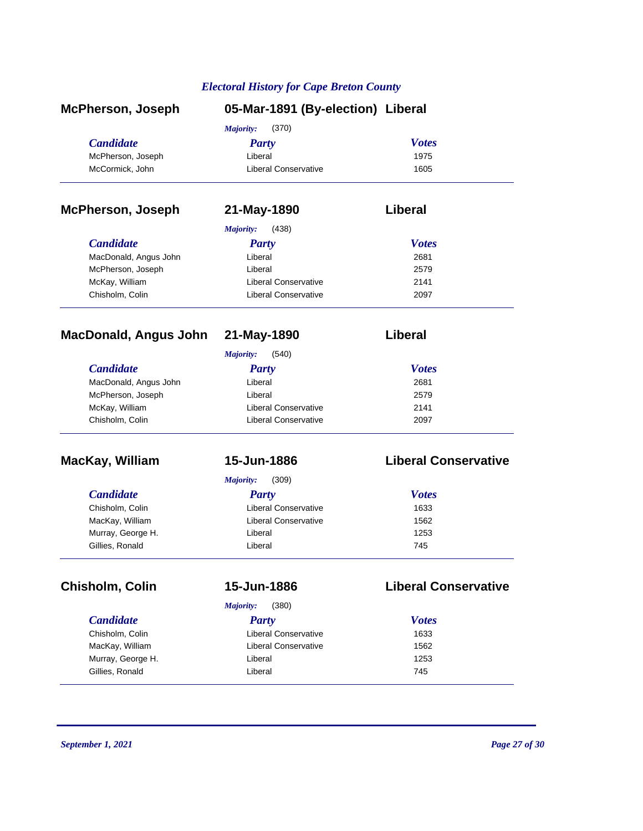| <b>McPherson, Joseph</b>     | 05-Mar-1891 (By-election) Liberal |                             |
|------------------------------|-----------------------------------|-----------------------------|
|                              | (370)<br>Majority:                |                             |
| <b>Candidate</b>             | <b>Party</b>                      | <b>Votes</b>                |
| McPherson, Joseph            | Liberal                           | 1975                        |
| McCormick, John              | <b>Liberal Conservative</b>       | 1605                        |
| <b>McPherson, Joseph</b>     | 21-May-1890                       | Liberal                     |
|                              | <b>Majority:</b><br>(438)         |                             |
| <b>Candidate</b>             | <b>Party</b>                      | <b>Votes</b>                |
| MacDonald, Angus John        | Liberal                           | 2681                        |
| McPherson, Joseph            | Liberal                           | 2579                        |
| McKay, William               | <b>Liberal Conservative</b>       | 2141                        |
| Chisholm, Colin              | <b>Liberal Conservative</b>       | 2097                        |
| <b>MacDonald, Angus John</b> | 21-May-1890                       | Liberal                     |
|                              | Majority:<br>(540)                |                             |
| <b>Candidate</b>             | <b>Party</b>                      | <b>Votes</b>                |
| MacDonald, Angus John        | Liberal                           | 2681                        |
| McPherson, Joseph            | Liberal                           | 2579                        |
| McKay, William               | <b>Liberal Conservative</b>       | 2141                        |
| Chisholm, Colin              | <b>Liberal Conservative</b>       | 2097                        |
| MacKay, William              | 15-Jun-1886                       | <b>Liberal Conservative</b> |
|                              | <b>Majority:</b><br>(309)         |                             |
| <b>Candidate</b>             | <b>Party</b>                      | <b>Votes</b>                |
| Chisholm, Colin              | Liberal Conservative              | 1633                        |
| MacKay, William              | <b>Liberal Conservative</b>       | 1562                        |
| Murray, George H.            | Liberal                           | 1253                        |
| Gillies, Ronald              | Liberal                           | 745                         |
| Chisholm, Colin              | 15-Jun-1886                       | <b>Liberal Conservative</b> |
|                              | Majority:<br>(380)                |                             |
| <b>Candidate</b>             | <b>Party</b>                      | <b>Votes</b>                |
| Chisholm, Colin              | Liberal Conservative              | 1633                        |
| MacKay, William              | <b>Liberal Conservative</b>       | 1562                        |
| Murray, George H.            | Liberal                           | 1253                        |
| Gillies, Ronald              | Liberal                           | 745                         |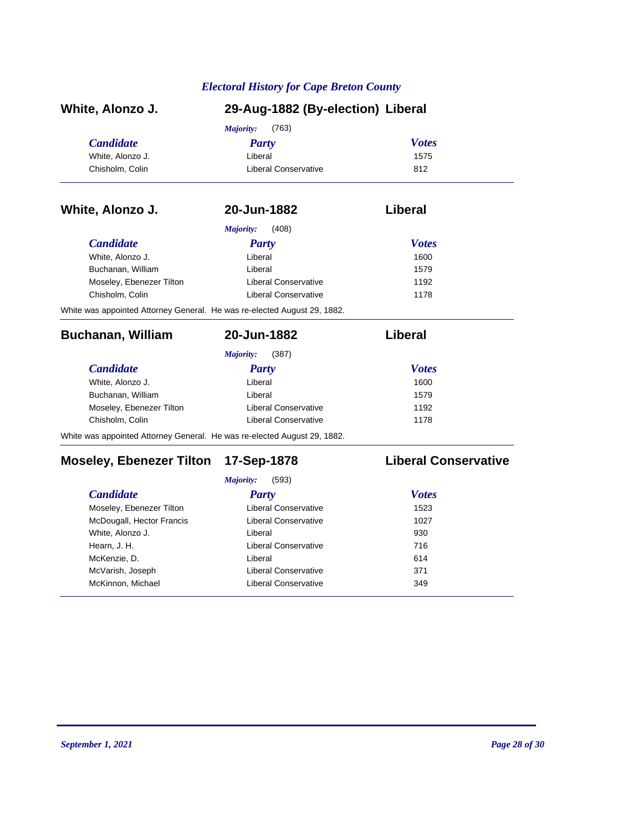| White, Alonzo J.                                                         | 29-Aug-1882 (By-election) Liberal |                             |  |
|--------------------------------------------------------------------------|-----------------------------------|-----------------------------|--|
|                                                                          | (763)<br>Majority:                |                             |  |
| <b>Candidate</b>                                                         | <b>Party</b>                      | <b>Votes</b>                |  |
| White, Alonzo J.                                                         | Liberal                           | 1575                        |  |
| Chisholm, Colin                                                          | <b>Liberal Conservative</b>       | 812                         |  |
| White, Alonzo J.                                                         | 20-Jun-1882                       | Liberal                     |  |
|                                                                          | <b>Majority:</b><br>(408)         |                             |  |
| <b>Candidate</b>                                                         | <b>Party</b>                      | <b>Votes</b>                |  |
| White, Alonzo J.                                                         | Liberal                           | 1600                        |  |
| Buchanan, William                                                        | Liberal                           | 1579                        |  |
| Moseley, Ebenezer Tilton                                                 | <b>Liberal Conservative</b>       | 1192                        |  |
| Chisholm, Colin                                                          | <b>Liberal Conservative</b>       | 1178                        |  |
| White was appointed Attorney General. He was re-elected August 29, 1882. |                                   |                             |  |
| <b>Buchanan, William</b>                                                 | 20-Jun-1882                       | Liberal                     |  |
|                                                                          | Majority:<br>(387)                |                             |  |
| <b>Candidate</b>                                                         | <b>Party</b>                      | <b>Votes</b>                |  |
| White, Alonzo J.                                                         | Liberal                           | 1600                        |  |
| Buchanan, William                                                        | Liberal                           | 1579                        |  |
| Moseley, Ebenezer Tilton                                                 | <b>Liberal Conservative</b>       | 1192                        |  |
| Chisholm, Colin                                                          | <b>Liberal Conservative</b>       | 1178                        |  |
| White was appointed Attorney General. He was re-elected August 29, 1882. |                                   |                             |  |
| <b>Moseley, Ebenezer Tilton</b>                                          | 17-Sep-1878                       | <b>Liberal Conservative</b> |  |
|                                                                          | Majority:<br>(593)                |                             |  |
| <b>Candidate</b>                                                         | <b>Party</b>                      | <b>Votes</b>                |  |
| Moseley, Ebenezer Tilton                                                 | <b>Liberal Conservative</b>       | 1523                        |  |
| McDougall, Hector Francis                                                | <b>Liberal Conservative</b>       | 1027                        |  |

White, Alonzo J. **Liberal Liberal 1930** Hearn, J. H. Christian Muslim Liberal Conservative Conservative 716 McKenzie, D. 614 McVarish, Joseph Liberal Conservative 371 McKinnon, Michael **McKinnon, Michael Conservative** 349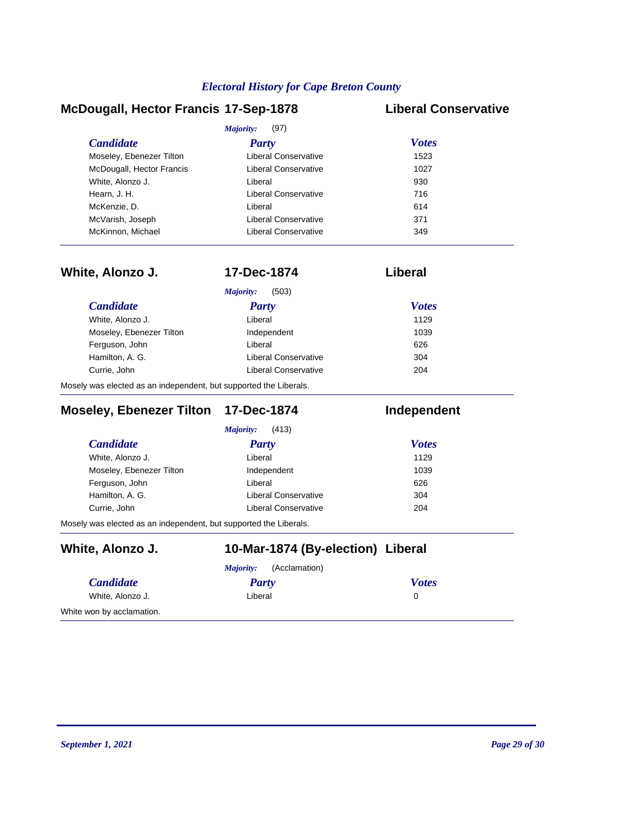### **McDougall, Hector Francis 17-Sep-1878 Liberal Conservative**

|                           | (97)<br>Majority:           |              |  |
|---------------------------|-----------------------------|--------------|--|
| <b>Candidate</b>          | Party                       | <b>Votes</b> |  |
| Moseley, Ebenezer Tilton  | <b>Liberal Conservative</b> | 1523         |  |
| McDougall, Hector Francis | Liberal Conservative        | 1027         |  |
| White, Alonzo J.          | Liberal                     | 930          |  |
| Hearn, J. H.              | Liberal Conservative        | 716          |  |
| McKenzie, D.              | Liberal                     | 614          |  |
| McVarish, Joseph          | Liberal Conservative        | 371          |  |
| McKinnon, Michael         | Liberal Conservative        | 349          |  |
|                           |                             |              |  |

| White, Alonzo J.         | 17-Dec-1874                 | Liberal      |
|--------------------------|-----------------------------|--------------|
|                          | (503)<br>Majority:          |              |
| <b>Candidate</b>         | Party                       | <b>Votes</b> |
| White, Alonzo J.         | Liberal                     | 1129         |
| Moseley, Ebenezer Tilton | Independent                 | 1039         |
| Ferguson, John           | Liberal                     | 626          |
| Hamilton, A. G.          | Liberal Conservative        | 304          |
| Currie, John             | <b>Liberal Conservative</b> | 204          |
|                          |                             |              |

Mosely was elected as an independent, but supported the Liberals.

### **Moseley, Ebenezer Tilton 17-Dec-1874 Independent**

*Candidate Party Votes Majority:* (413) White, Alonzo J. **Example 2018** Liberal 2012 2014 1129 Moseley, Ebenezer Tilton **Independent** 1039 Ferguson, John **Liberal** Liberal **Exercise 19** C<sub>26</sub> Hamilton, A. G. Liberal Conservative 304 Currie, John **Liberal Conservative** 204

Mosely was elected as an independent, but supported the Liberals.

| White, Alonzo J.          | 10-Mar-1874 (By-election) Liberal |               |              |
|---------------------------|-----------------------------------|---------------|--------------|
|                           | <i>Maiority:</i>                  | (Acclamation) |              |
| <b>Candidate</b>          | <b>Party</b>                      |               | <b>Votes</b> |
| White, Alonzo J.          | Liberal                           |               | 0            |
| White won by acclamation. |                                   |               |              |